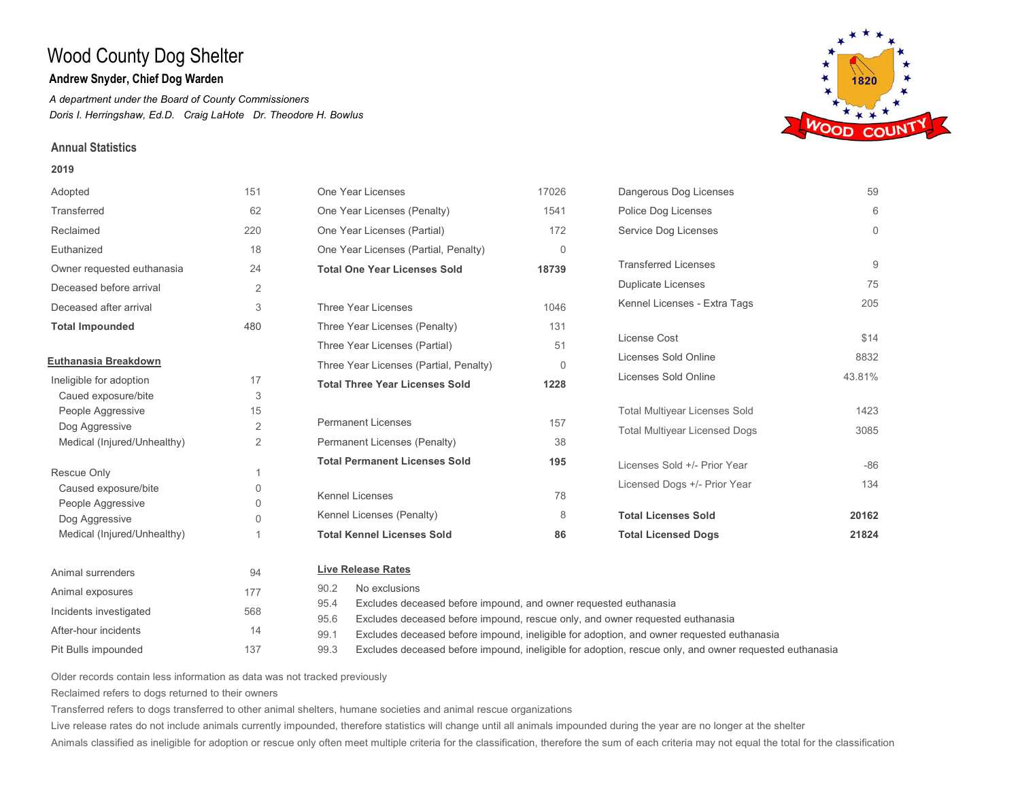## **Andrew Snyder, Chief Dog Warden**

*A department under the Board of County Commissioners Doris I. Herringshaw, Ed.D. Craig LaHote Dr. Theodore H. Bowlus*

### **Annual Statistics**

#### **2019**

| Adopted                             | 151                  | One Year Licenses                                                                     | 17026                                                            | Dangerous Dog Licenses               | 59       |  |
|-------------------------------------|----------------------|---------------------------------------------------------------------------------------|------------------------------------------------------------------|--------------------------------------|----------|--|
| Transferred                         | 62                   | One Year Licenses (Penalty)                                                           | 1541                                                             | Police Dog Licenses                  | 6        |  |
| Reclaimed                           | 220                  | One Year Licenses (Partial)                                                           | 172                                                              | Service Dog Licenses                 | $\Omega$ |  |
| Euthanized                          | 18                   | One Year Licenses (Partial, Penalty)                                                  | $\Omega$                                                         |                                      |          |  |
| Owner requested euthanasia          | 24                   | <b>Total One Year Licenses Sold</b>                                                   | 18739                                                            | <b>Transferred Licenses</b>          | 9        |  |
| Deceased before arrival             | 2                    |                                                                                       |                                                                  | <b>Duplicate Licenses</b>            | 75       |  |
| Deceased after arrival              | 3                    | Three Year Licenses                                                                   | 1046                                                             | Kennel Licenses - Extra Tags         | 205      |  |
| <b>Total Impounded</b>              | 480                  | Three Year Licenses (Penalty)                                                         | 131                                                              |                                      |          |  |
|                                     |                      | Three Year Licenses (Partial)                                                         | 51                                                               | License Cost                         | \$14     |  |
| Euthanasia Breakdown                |                      | Three Year Licenses (Partial, Penalty)                                                | $\Omega$                                                         | Licenses Sold Online                 | 8832     |  |
| Ineligible for adoption             | 17                   | <b>Total Three Year Licenses Sold</b>                                                 | 1228                                                             | Licenses Sold Online                 | 43.81%   |  |
| Caued exposure/bite                 | 3                    |                                                                                       |                                                                  |                                      |          |  |
| People Aggressive                   | 15                   |                                                                                       |                                                                  | <b>Total Multiyear Licenses Sold</b> | 1423     |  |
| Dog Aggressive                      | 2                    | <b>Permanent Licenses</b>                                                             | 157                                                              | <b>Total Multiyear Licensed Dogs</b> | 3085     |  |
| Medical (Injured/Unhealthy)         | $\overline{2}$       | Permanent Licenses (Penalty)                                                          | 38                                                               |                                      |          |  |
|                                     |                      | <b>Total Permanent Licenses Sold</b>                                                  | 195                                                              | Licenses Sold +/- Prior Year         | $-86$    |  |
| Rescue Only                         | $\overline{1}$       |                                                                                       |                                                                  | Licensed Dogs +/- Prior Year         | 134      |  |
| Caused exposure/bite                | $\mathbf{0}$         | <b>Kennel Licenses</b>                                                                | 78                                                               |                                      |          |  |
| People Aggressive<br>Dog Aggressive | $\Omega$<br>$\Omega$ | Kennel Licenses (Penalty)                                                             | 8                                                                | <b>Total Licenses Sold</b>           | 20162    |  |
| Medical (Injured/Unhealthy)         |                      | <b>Total Kennel Licenses Sold</b>                                                     | 86                                                               | <b>Total Licensed Dogs</b>           | 21824    |  |
| Animal surrenders                   | 94                   | <b>Live Release Rates</b>                                                             |                                                                  |                                      |          |  |
|                                     |                      | No exclusions<br>90.2                                                                 |                                                                  |                                      |          |  |
| Animal exposures                    | 177                  | 95.4                                                                                  | Excludes deceased before impound, and owner requested euthanasia |                                      |          |  |
| Incidents investigated              | 568                  | 95.6<br>Excludes deceased before impound, rescue only, and owner requested euthanasia |                                                                  |                                      |          |  |

137 Older records contain less information as data was not tracked previously

Reclaimed refers to dogs returned to their owners

After-hour incidents 14

Pit Bulls impounded

Transferred refers to dogs transferred to other animal shelters, humane societies and animal rescue organizations

99.1 99.3

Live release rates do not include animals currently impounded, therefore statistics will change until all animals impounded during the year are no longer at the shelter

Animals classified as ineligible for adoption or rescue only often meet multiple criteria for the classification, therefore the sum of each criteria may not equal the total for the classification

Excludes deceased before impound, ineligible for adoption, and owner requested euthanasia

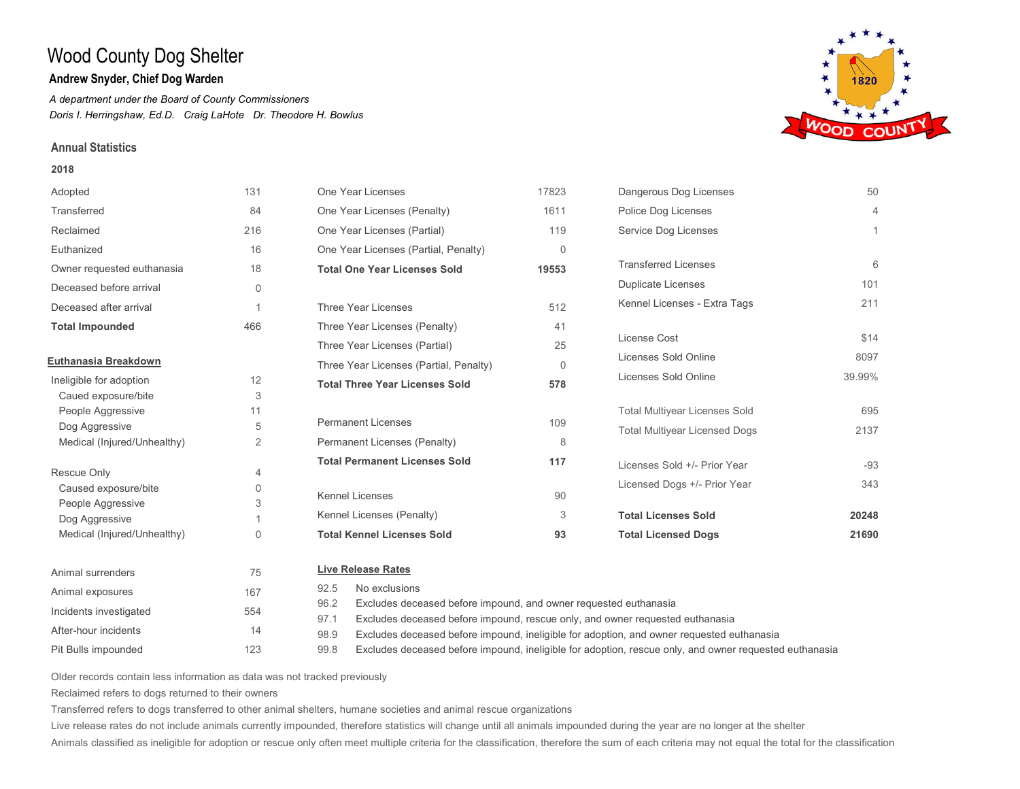## **Andrew Snyder, Chief Dog Warden**

*A department under the Board of County Commissioners Doris I. Herringshaw, Ed.D. Craig LaHote Dr. Theodore H. Bowlus*

### **Annual Statistics**

#### **2018**

| Adopted                             | 131          | One Year Licenses                                                                          | 17823    | Dangerous Dog Licenses               | 50             |
|-------------------------------------|--------------|--------------------------------------------------------------------------------------------|----------|--------------------------------------|----------------|
| Transferred                         | 84           | One Year Licenses (Penalty)                                                                | 1611     | Police Dog Licenses                  | $\overline{4}$ |
| Reclaimed                           | 216          | One Year Licenses (Partial)                                                                | 119      | Service Dog Licenses                 |                |
| Euthanized                          | 16           | One Year Licenses (Partial, Penalty)                                                       | $\Omega$ |                                      |                |
| Owner requested euthanasia          | 18           | <b>Total One Year Licenses Sold</b>                                                        | 19553    | <b>Transferred Licenses</b>          | 6              |
| Deceased before arrival             | $\mathbf{0}$ |                                                                                            |          | <b>Duplicate Licenses</b>            | 101            |
| Deceased after arrival              |              | Three Year Licenses                                                                        | 512      | Kennel Licenses - Extra Tags         | 211            |
| <b>Total Impounded</b>              | 466          | Three Year Licenses (Penalty)                                                              | 41       |                                      |                |
|                                     |              | Three Year Licenses (Partial)                                                              | 25       | License Cost                         | \$14           |
| Euthanasia Breakdown                |              | Three Year Licenses (Partial, Penalty)                                                     | $\Omega$ | Licenses Sold Online                 | 8097           |
| Ineligible for adoption             | 12           | <b>Total Three Year Licenses Sold</b>                                                      | 578      | Licenses Sold Online                 | 39.99%         |
| Caued exposure/bite                 | 3            |                                                                                            |          |                                      |                |
| People Aggressive                   | 11           |                                                                                            |          | <b>Total Multiyear Licenses Sold</b> | 695            |
| Dog Aggressive                      | 5            | <b>Permanent Licenses</b>                                                                  | 109      | <b>Total Multiyear Licensed Dogs</b> | 2137           |
| Medical (Injured/Unhealthy)         | 2            | Permanent Licenses (Penalty)                                                               | 8        |                                      |                |
|                                     |              | <b>Total Permanent Licenses Sold</b>                                                       | 117      | Licenses Sold +/- Prior Year         | $-93$          |
| Rescue Only                         | 4            |                                                                                            |          | Licensed Dogs +/- Prior Year         | 343            |
| Caused exposure/bite                | $\Omega$     | <b>Kennel Licenses</b>                                                                     | 90       |                                      |                |
| People Aggressive<br>Dog Aggressive | 3            | Kennel Licenses (Penalty)                                                                  | 3        | <b>Total Licenses Sold</b>           | 20248          |
| Medical (Injured/Unhealthy)         | $\Omega$     | <b>Total Kennel Licenses Sold</b>                                                          | 93       | <b>Total Licensed Dogs</b>           | 21690          |
| Animal surrenders                   | 75           | <b>Live Release Rates</b>                                                                  |          |                                      |                |
| Animal exposures                    | 167          | No exclusions<br>92.5                                                                      |          |                                      |                |
| Incidents investigated              | 554          | Excludes deceased before impound, and owner requested euthanasia<br>96.2<br>$\sim$ $ \sim$ |          |                                      |                |

Excludes deceased before impound, rescue only, and owner requested euthanasia 97.1

Excludes deceased before impound, ineligible for adoption, and owner requested euthanasia 98.9

Excludes deceased before impound, ineligible for adoption, rescue only, and owner requested euthanasia 99.8

Older records contain less information as data was not tracked previously

123

Reclaimed refers to dogs returned to their owners

After-hour incidents 14

Pit Bulls impounded

Transferred refers to dogs transferred to other animal shelters, humane societies and animal rescue organizations

Live release rates do not include animals currently impounded, therefore statistics will change until all animals impounded during the year are no longer at the shelter

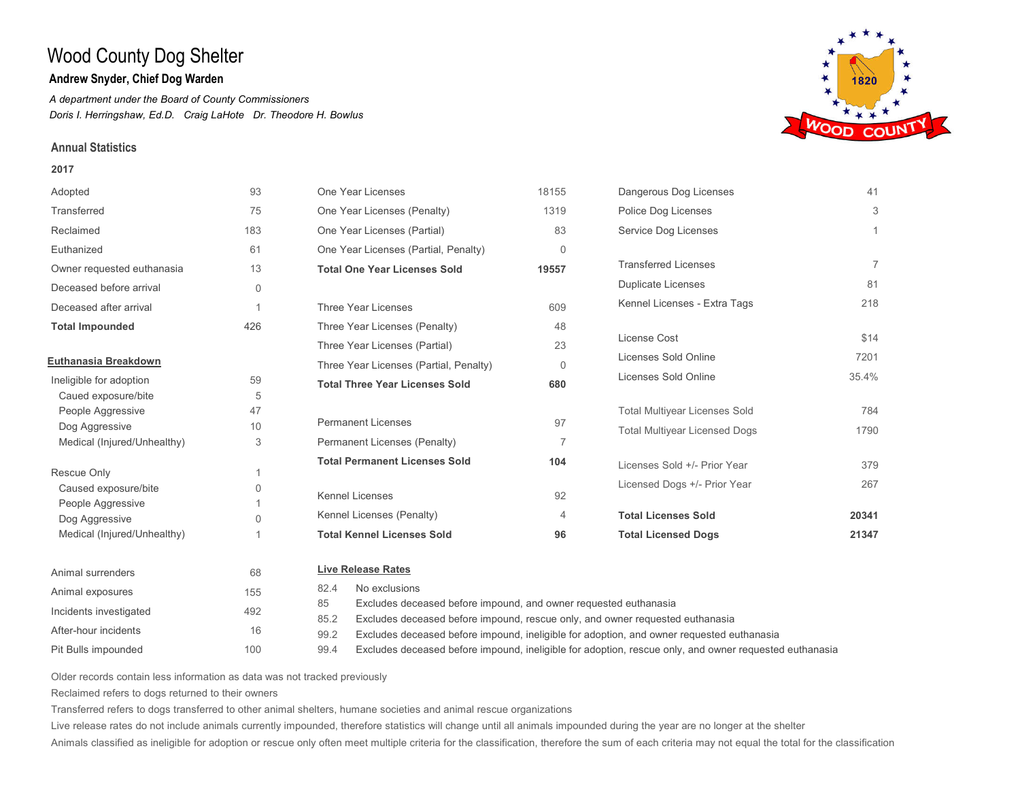## **Andrew Snyder, Chief Dog Warden**

*A department under the Board of County Commissioners Doris I. Herringshaw, Ed.D. Craig LaHote Dr. Theodore H. Bowlus*

### **Annual Statistics**

#### **2017**

| Adopted                             | 93             | One Year Licenses                                                                     | 18155                                                            | Dangerous Dog Licenses               | 41             |  |
|-------------------------------------|----------------|---------------------------------------------------------------------------------------|------------------------------------------------------------------|--------------------------------------|----------------|--|
| Transferred                         | 75             | One Year Licenses (Penalty)                                                           | 1319                                                             | Police Dog Licenses                  | 3              |  |
| Reclaimed                           | 183            | One Year Licenses (Partial)                                                           | 83                                                               | Service Dog Licenses                 |                |  |
| Euthanized                          | 61             | One Year Licenses (Partial, Penalty)                                                  | $\Omega$                                                         |                                      |                |  |
| Owner requested euthanasia          | 13             | <b>Total One Year Licenses Sold</b>                                                   | 19557                                                            | <b>Transferred Licenses</b>          | $\overline{7}$ |  |
| Deceased before arrival             | $\mathbf{0}$   |                                                                                       |                                                                  | <b>Duplicate Licenses</b>            | 81             |  |
| Deceased after arrival              | $\overline{1}$ | Three Year Licenses                                                                   | 609                                                              | Kennel Licenses - Extra Tags         | 218            |  |
| <b>Total Impounded</b>              | 426            | Three Year Licenses (Penalty)                                                         | 48                                                               |                                      |                |  |
|                                     |                | Three Year Licenses (Partial)                                                         | 23                                                               | License Cost                         | \$14           |  |
| Euthanasia Breakdown                |                | Three Year Licenses (Partial, Penalty)                                                | $\Omega$                                                         | Licenses Sold Online                 | 7201           |  |
| Ineligible for adoption             | 59             | <b>Total Three Year Licenses Sold</b>                                                 | 680                                                              | Licenses Sold Online                 | 35.4%          |  |
| Caued exposure/bite                 | 5              |                                                                                       |                                                                  |                                      |                |  |
| People Aggressive                   | 47             |                                                                                       |                                                                  | <b>Total Multiyear Licenses Sold</b> | 784            |  |
| Dog Aggressive                      | 10             | <b>Permanent Licenses</b>                                                             | 97                                                               | <b>Total Multiyear Licensed Dogs</b> | 1790           |  |
| Medical (Injured/Unhealthy)         | 3              | Permanent Licenses (Penalty)                                                          | $\overline{7}$                                                   |                                      |                |  |
|                                     |                | <b>Total Permanent Licenses Sold</b>                                                  | 104                                                              | Licenses Sold +/- Prior Year         | 379            |  |
| Rescue Only                         | 1              |                                                                                       |                                                                  | Licensed Dogs +/- Prior Year         | 267            |  |
| Caused exposure/bite                | $\mathbf{0}$   | <b>Kennel Licenses</b>                                                                | 92                                                               |                                      |                |  |
| People Aggressive<br>Dog Aggressive | $\Omega$       | Kennel Licenses (Penalty)                                                             | $\overline{4}$                                                   | <b>Total Licenses Sold</b>           | 20341          |  |
| Medical (Injured/Unhealthy)         |                | <b>Total Kennel Licenses Sold</b>                                                     | 96                                                               | <b>Total Licensed Dogs</b>           | 21347          |  |
| Animal surrenders                   | 68             | <b>Live Release Rates</b>                                                             |                                                                  |                                      |                |  |
| Animal exposures                    | 155            | No exclusions<br>82.4                                                                 |                                                                  |                                      |                |  |
|                                     |                | 85                                                                                    | Excludes deceased before impound, and owner requested euthanasia |                                      |                |  |
| Incidents investigated              | 492            | 85.2<br>Excludes deceased before impound, rescue only, and owner requested euthanasia |                                                                  |                                      |                |  |



Older records contain less information as data was not tracked previously

100

Reclaimed refers to dogs returned to their owners

After-hour incidents 16

Pit Bulls impounded

Transferred refers to dogs transferred to other animal shelters, humane societies and animal rescue organizations

99.2 99.4

Live release rates do not include animals currently impounded, therefore statistics will change until all animals impounded during the year are no longer at the shelter

Animals classified as ineligible for adoption or rescue only often meet multiple criteria for the classification, therefore the sum of each criteria may not equal the total for the classification

Excludes deceased before impound, ineligible for adoption, and owner requested euthanasia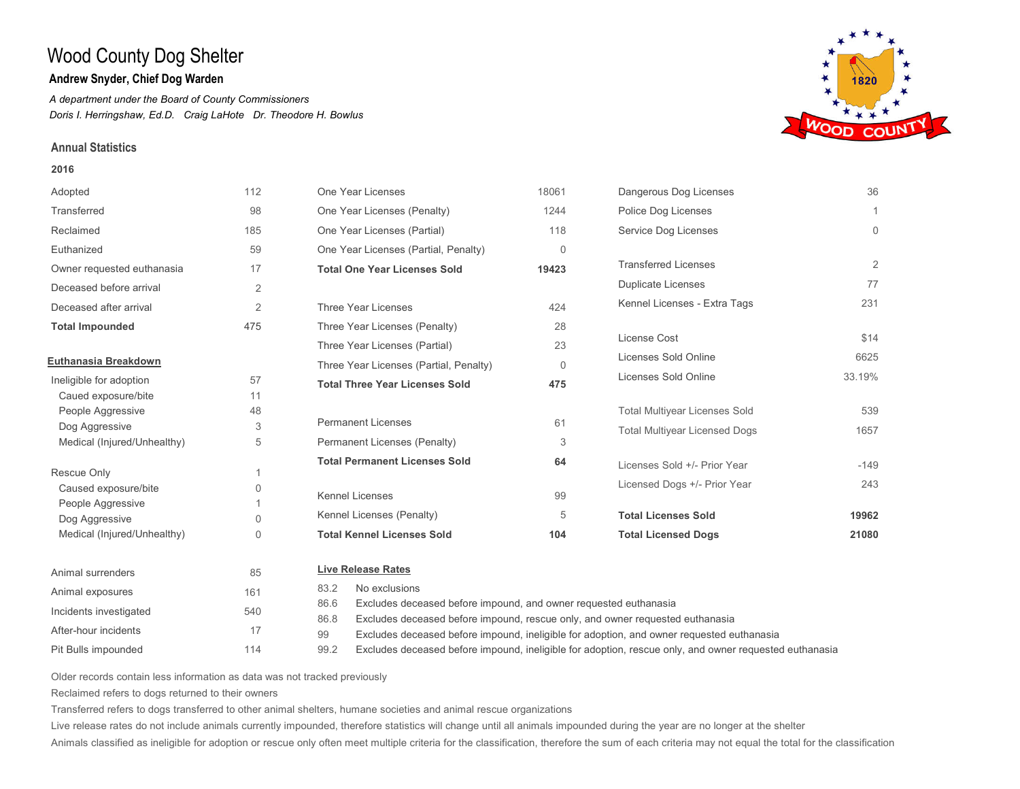## **Andrew Snyder, Chief Dog Warden**

*A department under the Board of County Commissioners Doris I. Herringshaw, Ed.D. Craig LaHote Dr. Theodore H. Bowlus*

### **Annual Statistics**

#### **2016**

| Adopted                             | 112            | One Year Licenses                                                                     | 18061    | Dangerous Dog Licenses               | 36          |
|-------------------------------------|----------------|---------------------------------------------------------------------------------------|----------|--------------------------------------|-------------|
| Transferred                         | 98             | One Year Licenses (Penalty)                                                           | 1244     | Police Dog Licenses                  |             |
| Reclaimed                           | 185            | One Year Licenses (Partial)                                                           | 118      | Service Dog Licenses                 | $\mathbf 0$ |
| Euthanized                          | 59             | One Year Licenses (Partial, Penalty)                                                  | $\Omega$ |                                      |             |
| Owner requested euthanasia          | 17             | <b>Total One Year Licenses Sold</b>                                                   | 19423    | <b>Transferred Licenses</b>          | 2           |
| Deceased before arrival             | 2              |                                                                                       |          | <b>Duplicate Licenses</b>            | 77          |
| Deceased after arrival              | $\overline{2}$ | Three Year Licenses                                                                   | 424      | Kennel Licenses - Extra Tags         | 231         |
| <b>Total Impounded</b>              | 475            | Three Year Licenses (Penalty)                                                         | 28       |                                      |             |
|                                     |                | Three Year Licenses (Partial)                                                         | 23       | License Cost                         | \$14        |
| Euthanasia Breakdown                |                | Three Year Licenses (Partial, Penalty)                                                | $\Omega$ | Licenses Sold Online                 | 6625        |
| Ineligible for adoption             | 57             | <b>Total Three Year Licenses Sold</b>                                                 | 475      | Licenses Sold Online                 | 33.19%      |
| Caued exposure/bite                 | 11             |                                                                                       |          |                                      |             |
| People Aggressive                   | 48             |                                                                                       |          | <b>Total Multiyear Licenses Sold</b> | 539         |
| Dog Aggressive                      | 3              | <b>Permanent Licenses</b>                                                             | 61       | <b>Total Multiyear Licensed Dogs</b> | 1657        |
| Medical (Injured/Unhealthy)         | 5              | Permanent Licenses (Penalty)                                                          | 3        |                                      |             |
| Rescue Only                         |                | <b>Total Permanent Licenses Sold</b>                                                  | 64       | Licenses Sold +/- Prior Year         | $-149$      |
| Caused exposure/bite                |                |                                                                                       |          | Licensed Dogs +/- Prior Year         | 243         |
|                                     | 0              | <b>Kennel Licenses</b>                                                                | 99       |                                      |             |
| People Aggressive<br>Dog Aggressive | $\Omega$       | Kennel Licenses (Penalty)                                                             | 5        | <b>Total Licenses Sold</b>           | 19962       |
| Medical (Injured/Unhealthy)         | 0              | <b>Total Kennel Licenses Sold</b>                                                     | 104      | <b>Total Licensed Dogs</b>           | 21080       |
| Animal surrenders                   | 85             | <b>Live Release Rates</b>                                                             |          |                                      |             |
| Animal exposures                    | 161            | No exclusions<br>83.2                                                                 |          |                                      |             |
|                                     |                | 86.6<br>Excludes deceased before impound, and owner requested euthanasia              |          |                                      |             |
| Incidents investigated              | 540            | 86.8<br>Excludes deceased before impound, rescue only, and owner requested euthanasia |          |                                      |             |

Older records contain less information as data was not tracked previously

114

Reclaimed refers to dogs returned to their owners

After-hour incidents 17

Pit Bulls impounded

Transferred refers to dogs transferred to other animal shelters, humane societies and animal rescue organizations

99 99.2

Live release rates do not include animals currently impounded, therefore statistics will change until all animals impounded during the year are no longer at the shelter

Animals classified as ineligible for adoption or rescue only often meet multiple criteria for the classification, therefore the sum of each criteria may not equal the total for the classification

Excludes deceased before impound, ineligible for adoption, and owner requested euthanasia

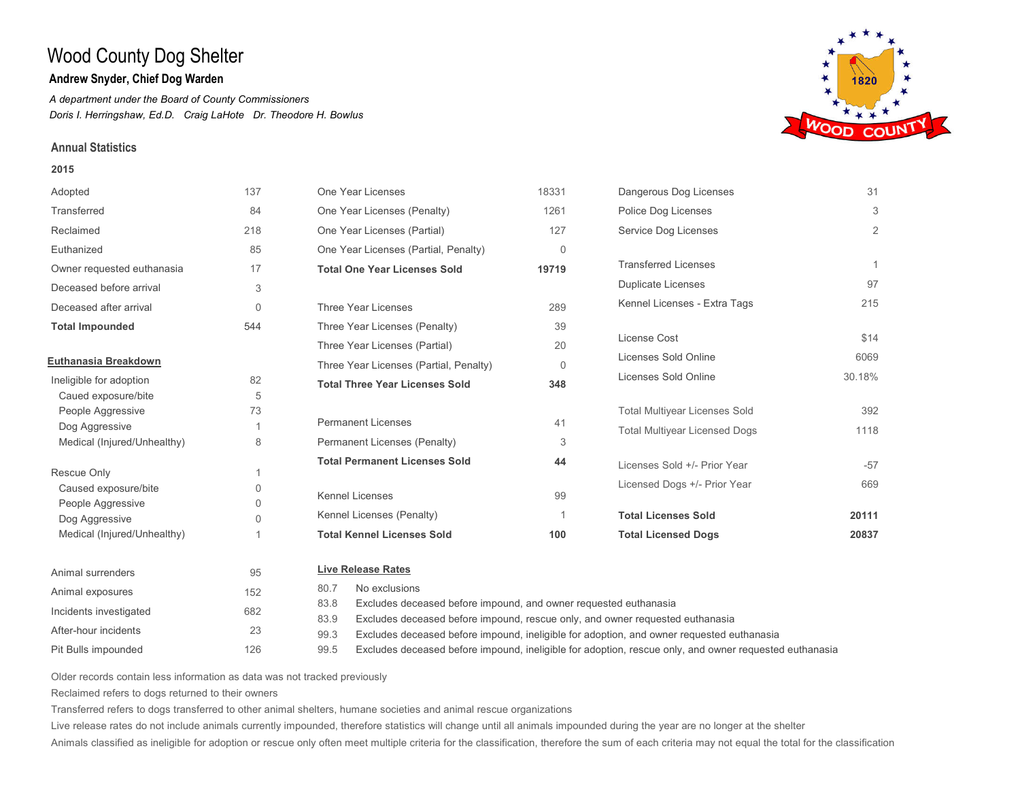## **Andrew Snyder, Chief Dog Warden**

*A department under the Board of County Commissioners Doris I. Herringshaw, Ed.D. Craig LaHote Dr. Theodore H. Bowlus*

### **Annual Statistics**

#### **2015**

| Adopted                             | 137          | One Year Licenses                                                                     | 18331    | Dangerous Dog Licenses               | 31             |
|-------------------------------------|--------------|---------------------------------------------------------------------------------------|----------|--------------------------------------|----------------|
| Transferred                         | 84           | One Year Licenses (Penalty)                                                           | 1261     | Police Dog Licenses                  | 3              |
| Reclaimed                           | 218          | One Year Licenses (Partial)                                                           | 127      | Service Dog Licenses                 | $\overline{2}$ |
| Euthanized                          | 85           | One Year Licenses (Partial, Penalty)                                                  | $\Omega$ |                                      |                |
| Owner requested euthanasia          | 17           | <b>Total One Year Licenses Sold</b>                                                   | 19719    | <b>Transferred Licenses</b>          | 1              |
| Deceased before arrival             | 3            |                                                                                       |          | <b>Duplicate Licenses</b>            | 97             |
| Deceased after arrival              | $\Omega$     | Three Year Licenses                                                                   | 289      | Kennel Licenses - Extra Tags         | 215            |
| <b>Total Impounded</b>              | 544          | Three Year Licenses (Penalty)                                                         | 39       |                                      |                |
|                                     |              | Three Year Licenses (Partial)                                                         | 20       | License Cost                         | \$14           |
| Euthanasia Breakdown                |              | Three Year Licenses (Partial, Penalty)                                                | $\Omega$ | Licenses Sold Online                 | 6069           |
| Ineligible for adoption             | 82           | <b>Total Three Year Licenses Sold</b>                                                 | 348      | Licenses Sold Online                 | 30.18%         |
| Caued exposure/bite                 | 5            |                                                                                       |          |                                      |                |
| People Aggressive                   | 73           |                                                                                       |          | <b>Total Multiyear Licenses Sold</b> | 392            |
| Dog Aggressive                      |              | <b>Permanent Licenses</b>                                                             | 41       | <b>Total Multiyear Licensed Dogs</b> | 1118           |
| Medical (Injured/Unhealthy)         | 8            | Permanent Licenses (Penalty)                                                          | 3        |                                      |                |
| Rescue Only                         | 1            | <b>Total Permanent Licenses Sold</b>                                                  | 44       | Licenses Sold +/- Prior Year         | $-57$          |
| Caused exposure/bite                | $\mathbf{0}$ |                                                                                       |          | Licensed Dogs +/- Prior Year         | 669            |
|                                     | $\Omega$     | <b>Kennel Licenses</b>                                                                | 99       |                                      |                |
| People Aggressive<br>Dog Aggressive | $\Omega$     | Kennel Licenses (Penalty)                                                             |          | <b>Total Licenses Sold</b>           | 20111          |
| Medical (Injured/Unhealthy)         |              | <b>Total Kennel Licenses Sold</b>                                                     | 100      | <b>Total Licensed Dogs</b>           | 20837          |
| Animal surrenders                   | 95           | <b>Live Release Rates</b>                                                             |          |                                      |                |
|                                     |              | No exclusions<br>80.7                                                                 |          |                                      |                |
| Animal exposures                    | 152          | 83.8<br>Excludes deceased before impound, and owner requested euthanasia              |          |                                      |                |
| Incidents investigated              | 682          | 83.9<br>Excludes deceased before impound, rescue only, and owner requested euthanasia |          |                                      |                |



Older records contain less information as data was not tracked previously

126

Reclaimed refers to dogs returned to their owners

After-hour incidents 23

Pit Bulls impounded

Transferred refers to dogs transferred to other animal shelters, humane societies and animal rescue organizations

99.3 99.5

Live release rates do not include animals currently impounded, therefore statistics will change until all animals impounded during the year are no longer at the shelter

Animals classified as ineligible for adoption or rescue only often meet multiple criteria for the classification, therefore the sum of each criteria may not equal the total for the classification

Excludes deceased before impound, ineligible for adoption, and owner requested euthanasia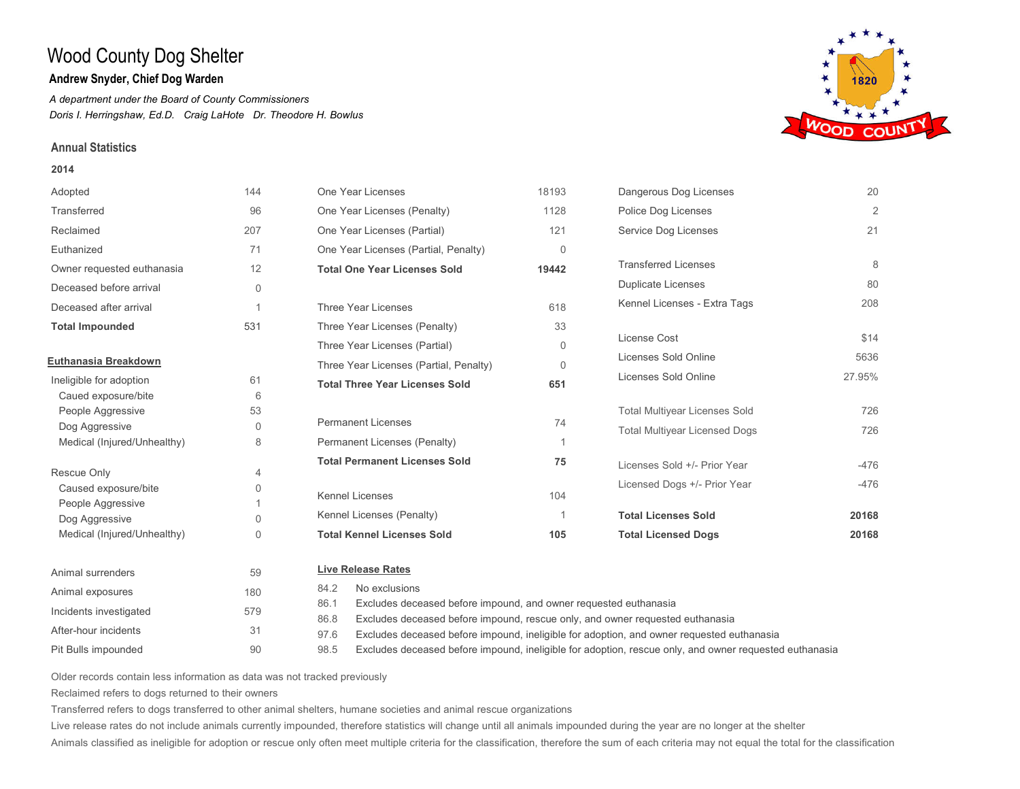## **Andrew Snyder, Chief Dog Warden**

*A department under the Board of County Commissioners Doris I. Herringshaw, Ed.D. Craig LaHote Dr. Theodore H. Bowlus*

### **Annual Statistics**

#### **2014**

| Adopted                             | 144            | One Year Licenses                                                                     | 18193                                                            | Dangerous Dog Licenses               | 20             |  |  |
|-------------------------------------|----------------|---------------------------------------------------------------------------------------|------------------------------------------------------------------|--------------------------------------|----------------|--|--|
| Transferred                         | 96             | One Year Licenses (Penalty)                                                           | 1128                                                             | Police Dog Licenses                  | $\overline{2}$ |  |  |
| Reclaimed                           | 207            | One Year Licenses (Partial)                                                           | 121                                                              | Service Dog Licenses                 | 21             |  |  |
| Euthanized                          | 71             | One Year Licenses (Partial, Penalty)                                                  | $\Omega$                                                         |                                      |                |  |  |
| Owner requested euthanasia          | 12             | <b>Total One Year Licenses Sold</b>                                                   | 19442                                                            | <b>Transferred Licenses</b>          | 8              |  |  |
| Deceased before arrival             | $\mathbf{0}$   |                                                                                       |                                                                  | <b>Duplicate Licenses</b>            | 80             |  |  |
| Deceased after arrival              | $\overline{1}$ | Three Year Licenses                                                                   | 618                                                              | Kennel Licenses - Extra Tags         | 208            |  |  |
| <b>Total Impounded</b>              | 531            | Three Year Licenses (Penalty)                                                         | 33                                                               |                                      |                |  |  |
|                                     |                | Three Year Licenses (Partial)                                                         | $\Omega$                                                         | License Cost                         | \$14           |  |  |
| Euthanasia Breakdown                |                | Three Year Licenses (Partial, Penalty)                                                | $\Omega$                                                         | Licenses Sold Online                 | 5636           |  |  |
| Ineligible for adoption             | 61             | <b>Total Three Year Licenses Sold</b>                                                 | 651                                                              | Licenses Sold Online                 | 27.95%         |  |  |
| Caued exposure/bite                 | 6              |                                                                                       |                                                                  |                                      |                |  |  |
| People Aggressive                   | 53             |                                                                                       |                                                                  | <b>Total Multiyear Licenses Sold</b> | 726            |  |  |
| Dog Aggressive                      | $\Omega$       | <b>Permanent Licenses</b>                                                             | 74                                                               | <b>Total Multiyear Licensed Dogs</b> | 726            |  |  |
| Medical (Injured/Unhealthy)         | 8              | Permanent Licenses (Penalty)                                                          | $\overline{1}$                                                   |                                      |                |  |  |
|                                     |                | <b>Total Permanent Licenses Sold</b>                                                  | 75                                                               | Licenses Sold +/- Prior Year         | $-476$         |  |  |
| Rescue Only                         | 4              |                                                                                       |                                                                  | Licensed Dogs +/- Prior Year         | $-476$         |  |  |
| Caused exposure/bite                | $\mathbf 0$    | <b>Kennel Licenses</b>                                                                | 104                                                              |                                      |                |  |  |
| People Aggressive<br>Dog Aggressive | $\Omega$       | Kennel Licenses (Penalty)                                                             |                                                                  | <b>Total Licenses Sold</b>           | 20168          |  |  |
| Medical (Injured/Unhealthy)         | 0              | <b>Total Kennel Licenses Sold</b>                                                     | 105                                                              | <b>Total Licensed Dogs</b>           | 20168          |  |  |
|                                     |                |                                                                                       |                                                                  |                                      |                |  |  |
| Animal surrenders                   | 59             | <b>Live Release Rates</b>                                                             |                                                                  |                                      |                |  |  |
| Animal exposures                    | 180            | 84.2<br>No exclusions                                                                 |                                                                  |                                      |                |  |  |
| Incidents investigated              | 579            | 86.1                                                                                  | Excludes deceased before impound, and owner requested euthanasia |                                      |                |  |  |
|                                     |                | 86.8<br>Excludes deceased before impound, rescue only, and owner requested euthanasia |                                                                  |                                      |                |  |  |

WOOD

Older records contain less information as data was not tracked previously

90

Reclaimed refers to dogs returned to their owners

After-hour incidents 31

Pit Bulls impounded

Transferred refers to dogs transferred to other animal shelters, humane societies and animal rescue organizations

97.6 98.5

Live release rates do not include animals currently impounded, therefore statistics will change until all animals impounded during the year are no longer at the shelter

Animals classified as ineligible for adoption or rescue only often meet multiple criteria for the classification, therefore the sum of each criteria may not equal the total for the classification

Excludes deceased before impound, ineligible for adoption, and owner requested euthanasia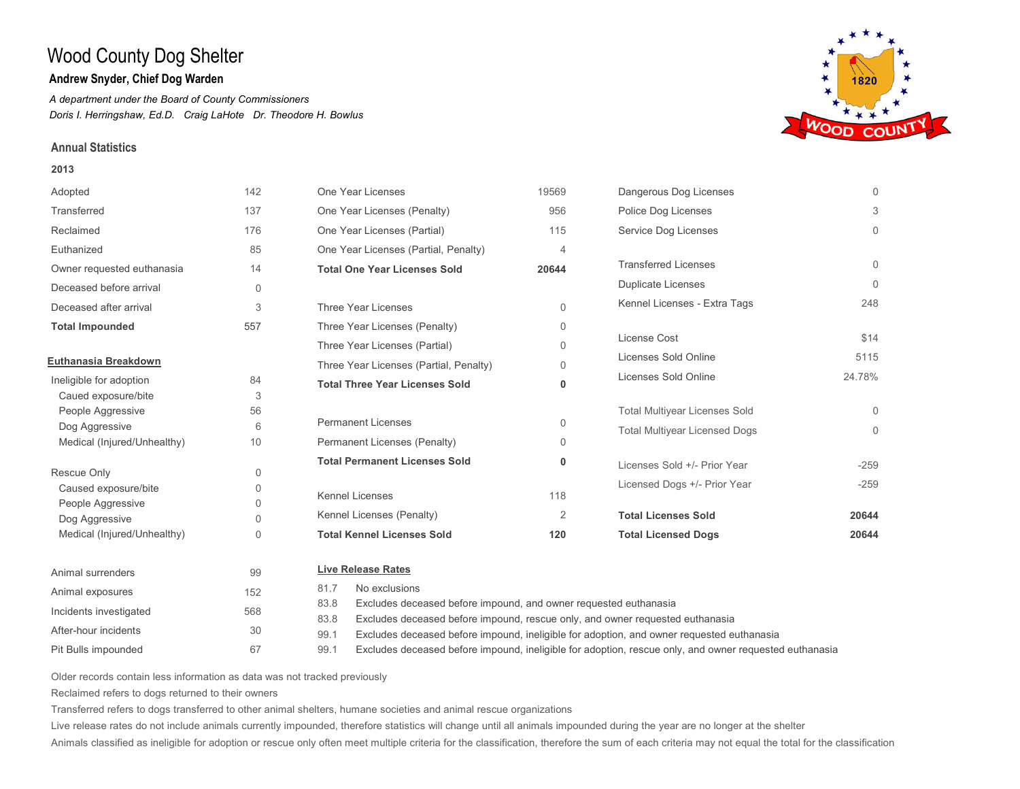## **Andrew Snyder, Chief Dog Warden**

*A department under the Board of County Commissioners Doris I. Herringshaw, Ed.D. Craig LaHote Dr. Theodore H. Bowlus*

### **Annual Statistics**

### **2013**

| Adopted                             | 142                        | One Year Licenses                                                                     | 19569    | Dangerous Dog Licenses               | $\Omega$ |
|-------------------------------------|----------------------------|---------------------------------------------------------------------------------------|----------|--------------------------------------|----------|
| Transferred                         | 137                        | One Year Licenses (Penalty)                                                           | 956      | Police Dog Licenses                  | 3        |
| Reclaimed                           | 176                        | One Year Licenses (Partial)                                                           | 115      | Service Dog Licenses                 | $\Omega$ |
| Euthanized                          | 85                         | One Year Licenses (Partial, Penalty)                                                  | 4        |                                      |          |
| Owner requested euthanasia          | 14                         | <b>Total One Year Licenses Sold</b>                                                   | 20644    | <b>Transferred Licenses</b>          | $\Omega$ |
| Deceased before arrival             | $\mathbf{0}$               |                                                                                       |          | <b>Duplicate Licenses</b>            | $\Omega$ |
| Deceased after arrival              | 3                          | Three Year Licenses                                                                   | $\Omega$ | Kennel Licenses - Extra Tags         | 248      |
| <b>Total Impounded</b>              | 557                        | Three Year Licenses (Penalty)                                                         | $\Omega$ |                                      |          |
|                                     |                            | Three Year Licenses (Partial)                                                         | $\Omega$ | License Cost                         | \$14     |
| Euthanasia Breakdown                |                            | Three Year Licenses (Partial, Penalty)                                                | 0        | Licenses Sold Online                 | 5115     |
| Ineligible for adoption             | 84                         | <b>Total Three Year Licenses Sold</b>                                                 | 0        | Licenses Sold Online                 | 24.78%   |
| Caued exposure/bite                 | 3                          |                                                                                       |          |                                      |          |
| People Aggressive                   | 56                         |                                                                                       |          | <b>Total Multiyear Licenses Sold</b> | $\Omega$ |
| Dog Aggressive                      | 6                          | Permanent Licenses                                                                    | 0        | <b>Total Multiyear Licensed Dogs</b> | $\Omega$ |
| Medical (Injured/Unhealthy)         | 10                         | Permanent Licenses (Penalty)                                                          | $\Omega$ |                                      |          |
| Rescue Only                         |                            | <b>Total Permanent Licenses Sold</b>                                                  | 0        | Licenses Sold +/- Prior Year         | $-259$   |
| Caused exposure/bite                | $\Omega$<br>$\overline{0}$ |                                                                                       |          | Licensed Dogs +/- Prior Year         | $-259$   |
|                                     | $\Omega$                   | <b>Kennel Licenses</b>                                                                | 118      |                                      |          |
| People Aggressive<br>Dog Aggressive | $\Omega$                   | Kennel Licenses (Penalty)                                                             | 2        | <b>Total Licenses Sold</b>           | 20644    |
| Medical (Injured/Unhealthy)         | $\mathbf 0$                | <b>Total Kennel Licenses Sold</b>                                                     | 120      | <b>Total Licensed Dogs</b>           | 20644    |
| Animal surrenders                   | 99                         | <b>Live Release Rates</b>                                                             |          |                                      |          |
| Animal exposures                    | 152                        | No exclusions<br>81.7                                                                 |          |                                      |          |
|                                     |                            | Excludes deceased before impound, and owner requested euthanasia<br>83.8              |          |                                      |          |
| Incidents investigated              | 568                        | 83.8<br>Excludes deceased before impound, rescue only, and owner requested euthanasia |          |                                      |          |



Older records contain less information as data was not tracked previously

67

Reclaimed refers to dogs returned to their owners

After-hour incidents 30

Pit Bulls impounded

Transferred refers to dogs transferred to other animal shelters, humane societies and animal rescue organizations

99.1 99.1

Live release rates do not include animals currently impounded, therefore statistics will change until all animals impounded during the year are no longer at the shelter

Animals classified as ineligible for adoption or rescue only often meet multiple criteria for the classification, therefore the sum of each criteria may not equal the total for the classification

Excludes deceased before impound, ineligible for adoption, and owner requested euthanasia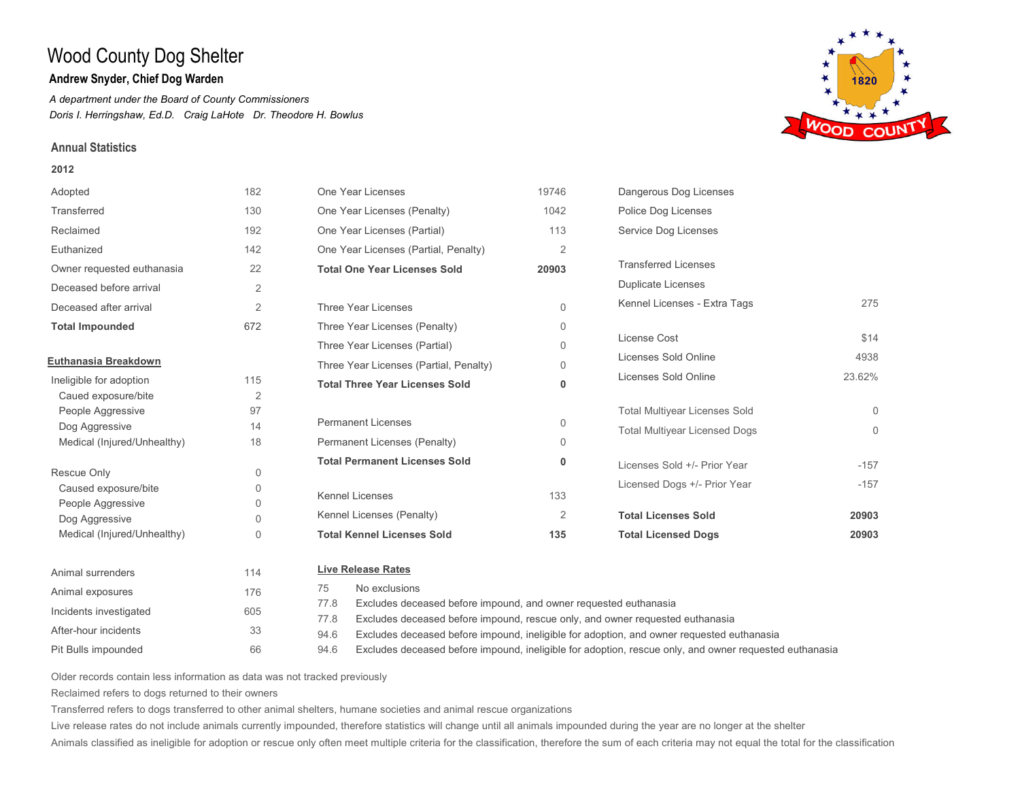## **Andrew Snyder, Chief Dog Warden**

*A department under the Board of County Commissioners Doris I. Herringshaw, Ed.D. Craig LaHote Dr. Theodore H. Bowlus*

## **Annual Statistics**

#### **2012**

| Adopted                     | 182            | One Year Licenses                                                        | 19746          | Dangerous Dog Licenses               |          |
|-----------------------------|----------------|--------------------------------------------------------------------------|----------------|--------------------------------------|----------|
| Transferred                 | 130            | One Year Licenses (Penalty)                                              | 1042           | Police Dog Licenses                  |          |
| Reclaimed                   | 192            | One Year Licenses (Partial)                                              | 113            | Service Dog Licenses                 |          |
| Euthanized                  | 142            | One Year Licenses (Partial, Penalty)                                     | $\overline{2}$ |                                      |          |
| Owner requested euthanasia  | 22             | <b>Total One Year Licenses Sold</b>                                      | 20903          | <b>Transferred Licenses</b>          |          |
| Deceased before arrival     | $\overline{2}$ |                                                                          |                | <b>Duplicate Licenses</b>            |          |
| Deceased after arrival      | 2              | Three Year Licenses                                                      | $\Omega$       | Kennel Licenses - Extra Tags         | 275      |
| <b>Total Impounded</b>      | 672            | Three Year Licenses (Penalty)                                            | $\Omega$       |                                      |          |
|                             |                | Three Year Licenses (Partial)                                            | $\Omega$       | License Cost                         | \$14     |
| Euthanasia Breakdown        |                | Three Year Licenses (Partial, Penalty)                                   | $\Omega$       | Licenses Sold Online                 | 4938     |
| Ineligible for adoption     | 115            | <b>Total Three Year Licenses Sold</b>                                    | 0              | Licenses Sold Online                 | 23.62%   |
| Caued exposure/bite         | $\overline{2}$ |                                                                          |                |                                      |          |
| People Aggressive           | 97             |                                                                          |                | <b>Total Multiyear Licenses Sold</b> | $\Omega$ |
| Dog Aggressive              | 14             | <b>Permanent Licenses</b>                                                | $\Omega$       | <b>Total Multiyear Licensed Dogs</b> | $\Omega$ |
| Medical (Injured/Unhealthy) | 18             | Permanent Licenses (Penalty)                                             | $\Omega$       |                                      |          |
| Rescue Only                 | $\mathbf 0$    | <b>Total Permanent Licenses Sold</b>                                     | 0              | Licenses Sold +/- Prior Year         | $-157$   |
| Caused exposure/bite        | $\Omega$       |                                                                          |                | Licensed Dogs +/- Prior Year         | $-157$   |
| People Aggressive           | $\Omega$       | <b>Kennel Licenses</b>                                                   | 133            |                                      |          |
| Dog Aggressive              | $\Omega$       | Kennel Licenses (Penalty)                                                | 2              | <b>Total Licenses Sold</b>           | 20903    |
| Medical (Injured/Unhealthy) | $\Omega$       | <b>Total Kennel Licenses Sold</b>                                        | 135            | <b>Total Licensed Dogs</b>           | 20903    |
| Animal surrenders           | 114            | <b>Live Release Rates</b>                                                |                |                                      |          |
| Animal exposures            | 176            | No exclusions<br>75                                                      |                |                                      |          |
| Incidents investigated      | 605            | 77.8<br>Excludes deceased before impound, and owner requested euthanasia |                |                                      |          |



Older records contain less information as data was not tracked previously

66

Reclaimed refers to dogs returned to their owners

After-hour incidents 33

Pit Bulls impounded

Transferred refers to dogs transferred to other animal shelters, humane societies and animal rescue organizations

77.8 94.6 94.6

Live release rates do not include animals currently impounded, therefore statistics will change until all animals impounded during the year are no longer at the shelter

Animals classified as ineligible for adoption or rescue only often meet multiple criteria for the classification, therefore the sum of each criteria may not equal the total for the classification

Excludes deceased before impound, rescue only, and owner requested euthanasia

Excludes deceased before impound, ineligible for adoption, and owner requested euthanasia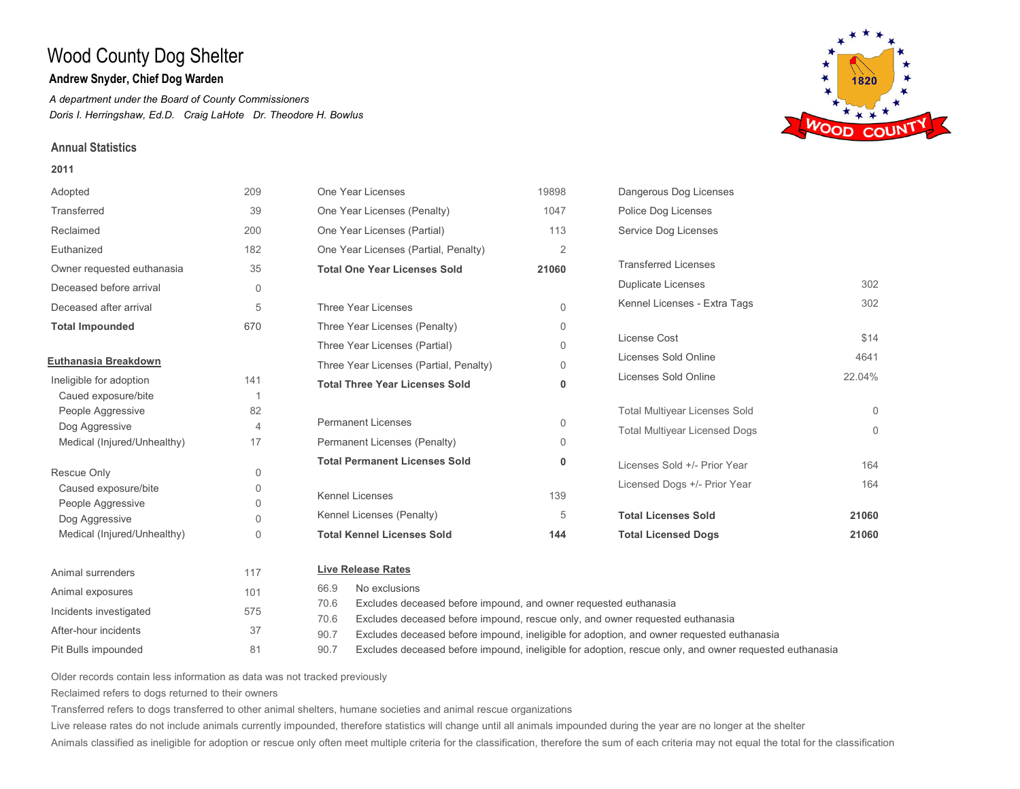## **Andrew Snyder, Chief Dog Warden**

*A department under the Board of County Commissioners Doris I. Herringshaw, Ed.D. Craig LaHote Dr. Theodore H. Bowlus*

### **Annual Statistics**

#### **2011**





Older records contain less information as data was not tracked previously

81

Reclaimed refers to dogs returned to their owners

After-hour incidents 37

Pit Bulls impounded

Transferred refers to dogs transferred to other animal shelters, humane societies and animal rescue organizations

70.6 90.7 90.7

Live release rates do not include animals currently impounded, therefore statistics will change until all animals impounded during the year are no longer at the shelter

Animals classified as ineligible for adoption or rescue only often meet multiple criteria for the classification, therefore the sum of each criteria may not equal the total for the classification

Excludes deceased before impound, rescue only, and owner requested euthanasia

Excludes deceased before impound, ineligible for adoption, and owner requested euthanasia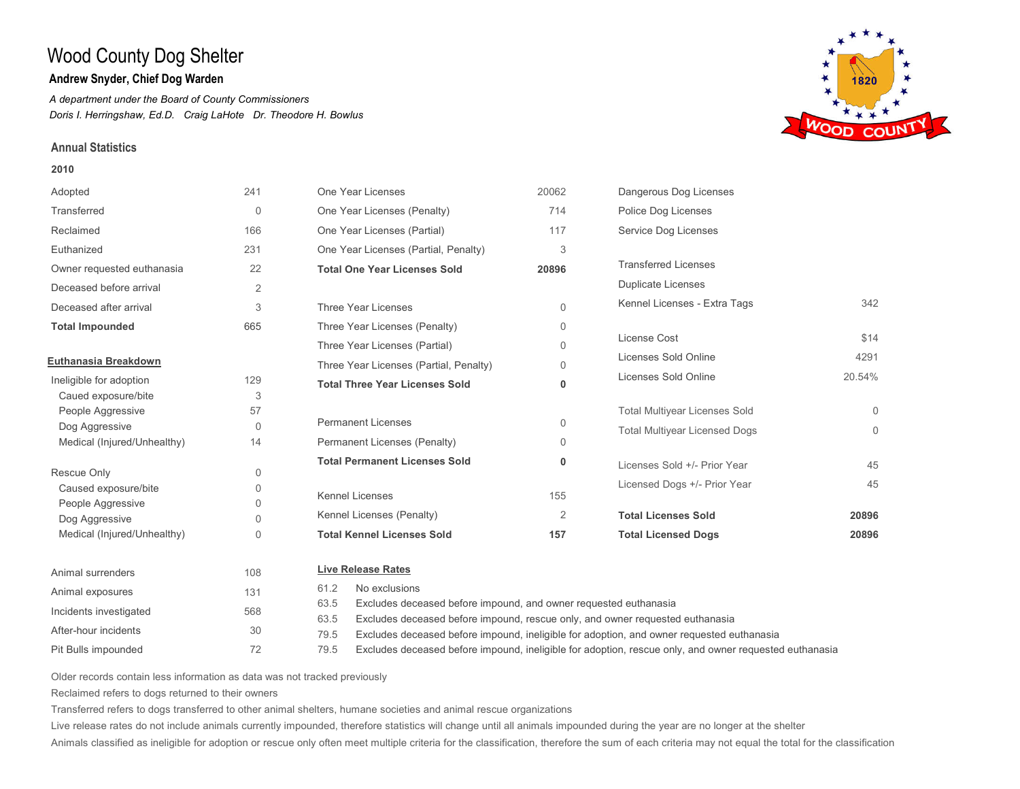## **Andrew Snyder, Chief Dog Warden**

*A department under the Board of County Commissioners Doris I. Herringshaw, Ed.D. Craig LaHote Dr. Theodore H. Bowlus*

### **Annual Statistics**

#### **2010**





Older records contain less information as data was not tracked previously

72

Reclaimed refers to dogs returned to their owners

After-hour incidents 30

Pit Bulls impounded

Transferred refers to dogs transferred to other animal shelters, humane societies and animal rescue organizations

79.5 79.5

Live release rates do not include animals currently impounded, therefore statistics will change until all animals impounded during the year are no longer at the shelter

Animals classified as ineligible for adoption or rescue only often meet multiple criteria for the classification, therefore the sum of each criteria may not equal the total for the classification

Excludes deceased before impound, ineligible for adoption, and owner requested euthanasia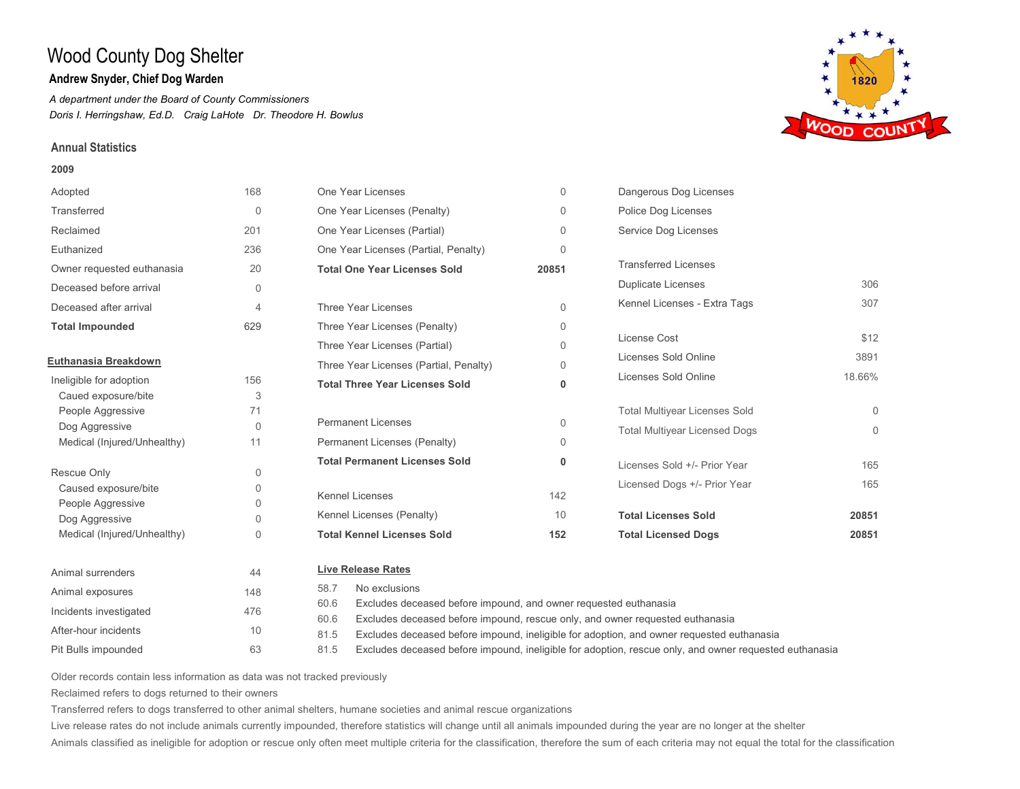## **Andrew Snyder, Chief Dog Warden**

*A department under the Board of County Commissioners Doris I. Herringshaw, Ed.D. Craig LaHote Dr. Theodore H. Bowlus*

## **Annual Statistics**

#### **2009**





Older records contain less information as data was not tracked previously

63

Reclaimed refers to dogs returned to their owners

After-hour incidents 10

Pit Bulls impounded

Transferred refers to dogs transferred to other animal shelters, humane societies and animal rescue organizations

81.5 81.5

Live release rates do not include animals currently impounded, therefore statistics will change until all animals impounded during the year are no longer at the shelter

Animals classified as ineligible for adoption or rescue only often meet multiple criteria for the classification, therefore the sum of each criteria may not equal the total for the classification

Excludes deceased before impound, ineligible for adoption, and owner requested euthanasia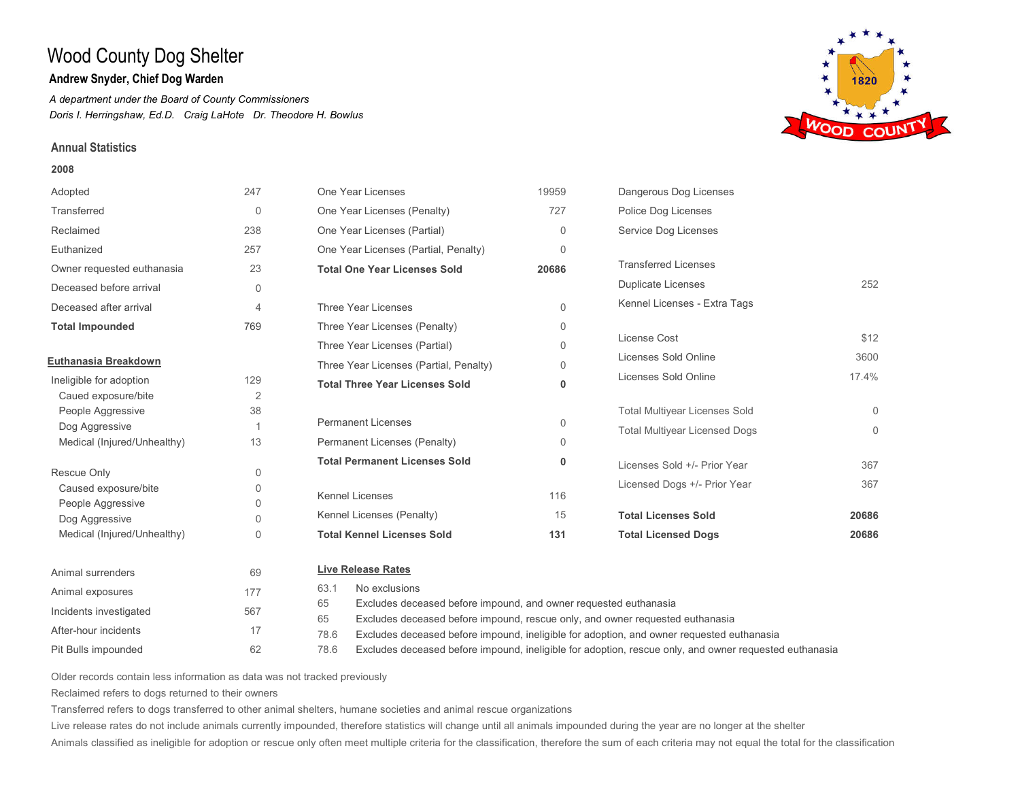## **Andrew Snyder, Chief Dog Warden**

*A department under the Board of County Commissioners Doris I. Herringshaw, Ed.D. Craig LaHote Dr. Theodore H. Bowlus*

## **Annual Statistics**

### **2008**





Older records contain less information as data was not tracked previously

62

Reclaimed refers to dogs returned to their owners

Pit Bulls impounded

Transferred refers to dogs transferred to other animal shelters, humane societies and animal rescue organizations

78.6 78.6

Live release rates do not include animals currently impounded, therefore statistics will change until all animals impounded during the year are no longer at the shelter

Animals classified as ineligible for adoption or rescue only often meet multiple criteria for the classification, therefore the sum of each criteria may not equal the total for the classification

Excludes deceased before impound, ineligible for adoption, and owner requested euthanasia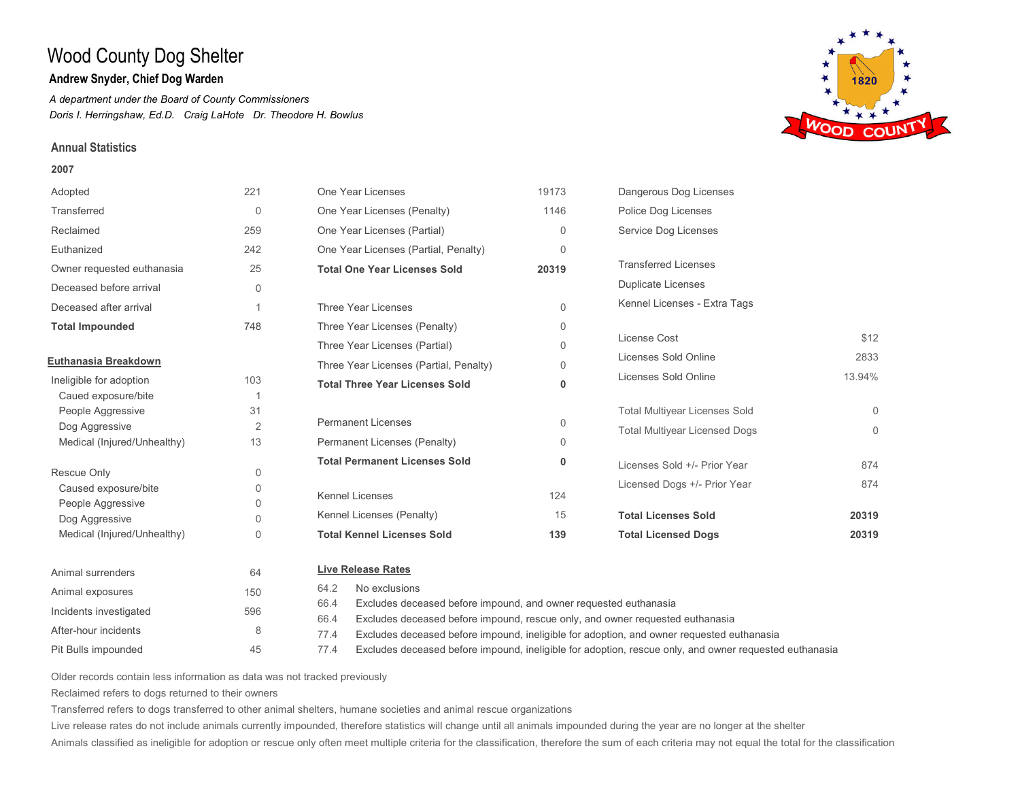## **Andrew Snyder, Chief Dog Warden**

*A department under the Board of County Commissioners Doris I. Herringshaw, Ed.D. Craig LaHote Dr. Theodore H. Bowlus*

## **Annual Statistics**

### **2007**





Older records contain less information as data was not tracked previously

45

Reclaimed refers to dogs returned to their owners

After-hour incidents 8

Pit Bulls impounded

Transferred refers to dogs transferred to other animal shelters, humane societies and animal rescue organizations

77.4 77.4

Live release rates do not include animals currently impounded, therefore statistics will change until all animals impounded during the year are no longer at the shelter

Animals classified as ineligible for adoption or rescue only often meet multiple criteria for the classification, therefore the sum of each criteria may not equal the total for the classification

Excludes deceased before impound, ineligible for adoption, and owner requested euthanasia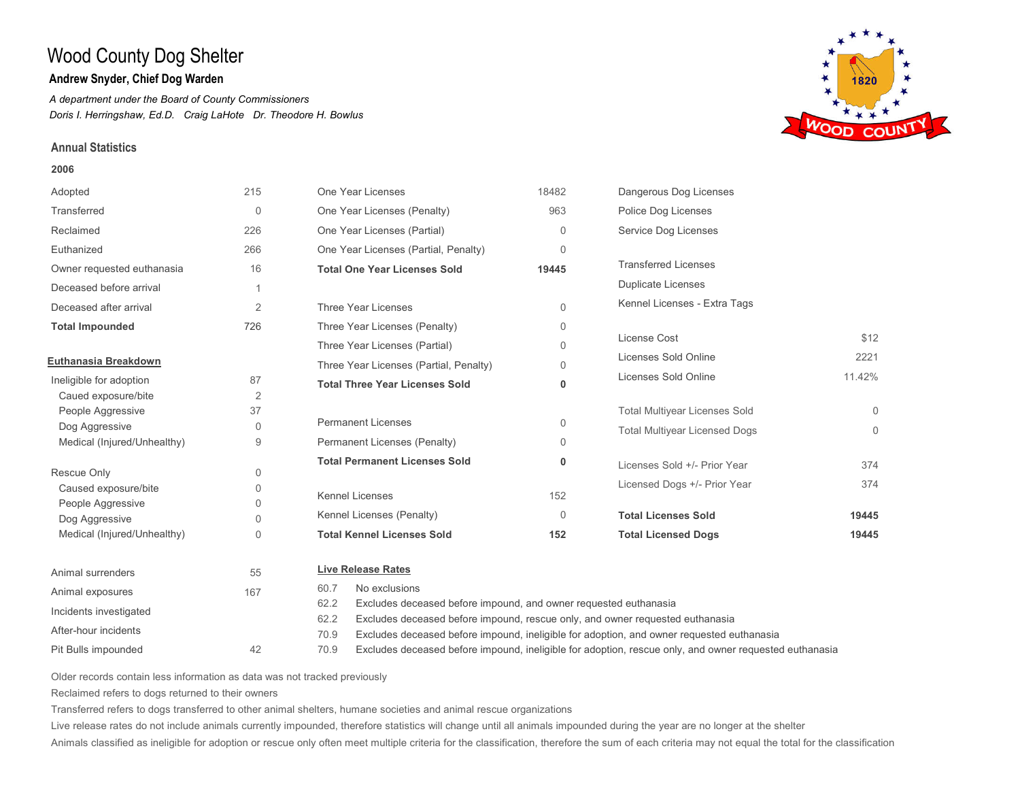## **Andrew Snyder, Chief Dog Warden**

*A department under the Board of County Commissioners Doris I. Herringshaw, Ed.D. Craig LaHote Dr. Theodore H. Bowlus*

### **Annual Statistics**

#### **2006**

| Adopted                     | 215            | One Year Licenses                                                        | 18482       | Dangerous Dog Licenses               |          |
|-----------------------------|----------------|--------------------------------------------------------------------------|-------------|--------------------------------------|----------|
| Transferred                 | $\Omega$       | One Year Licenses (Penalty)                                              | 963         | Police Dog Licenses                  |          |
| Reclaimed                   | 226            | One Year Licenses (Partial)                                              | $\Omega$    | Service Dog Licenses                 |          |
| Euthanized                  | 266            | One Year Licenses (Partial, Penalty)                                     | $\Omega$    |                                      |          |
| Owner requested euthanasia  | 16             | <b>Total One Year Licenses Sold</b>                                      | 19445       | <b>Transferred Licenses</b>          |          |
| Deceased before arrival     |                |                                                                          |             | <b>Duplicate Licenses</b>            |          |
| Deceased after arrival      | $\overline{2}$ | Three Year Licenses                                                      | $\Omega$    | Kennel Licenses - Extra Tags         |          |
| <b>Total Impounded</b>      | 726            | Three Year Licenses (Penalty)                                            | $\Omega$    |                                      |          |
|                             |                | Three Year Licenses (Partial)                                            | $\Omega$    | License Cost                         | \$12     |
| Euthanasia Breakdown        |                | Three Year Licenses (Partial, Penalty)                                   | 0           | Licenses Sold Online                 | 2221     |
| Ineligible for adoption     | 87             | <b>Total Three Year Licenses Sold</b>                                    | 0           | Licenses Sold Online                 | 11.42%   |
| Caued exposure/bite         | 2              |                                                                          |             |                                      |          |
| People Aggressive           | 37             |                                                                          |             | <b>Total Multiyear Licenses Sold</b> | $\Omega$ |
| Dog Aggressive              | 0              | <b>Permanent Licenses</b>                                                | $\mathbf 0$ | <b>Total Multiyear Licensed Dogs</b> | $\Omega$ |
| Medical (Injured/Unhealthy) | 9              | Permanent Licenses (Penalty)                                             | $\Omega$    |                                      |          |
| Rescue Only                 | 0              | <b>Total Permanent Licenses Sold</b>                                     | $\mathbf 0$ | Licenses Sold +/- Prior Year         | 374      |
| Caused exposure/bite        | 0              |                                                                          |             | Licensed Dogs +/- Prior Year         | 374      |
| People Aggressive           | $\Omega$       | <b>Kennel Licenses</b>                                                   | 152         |                                      |          |
| Dog Aggressive              | 0              | Kennel Licenses (Penalty)                                                | $\Omega$    | <b>Total Licenses Sold</b>           | 19445    |
| Medical (Injured/Unhealthy) | $\Omega$       | <b>Total Kennel Licenses Sold</b>                                        | 152         | <b>Total Licensed Dogs</b>           | 19445    |
| Animal surrenders           | 55             | <b>Live Release Rates</b>                                                |             |                                      |          |
| Animal exposures            | 167            | No exclusions<br>60.7                                                    |             |                                      |          |
| Incidents investigated      |                | Excludes deceased before impound, and owner requested euthanasia<br>62.2 |             |                                      |          |

Pit Bulls impounded After-hour incidents

- Excludes deceased before impound, rescue only, and owner requested euthanasia Excludes deceased before impound, ineligible for adoption, and owner requested euthanasia 62.2 70.9
- Excludes deceased before impound, ineligible for adoption, rescue only, and owner requested euthanasia 70.9

Older records contain less information as data was not tracked previously

42

Reclaimed refers to dogs returned to their owners

Transferred refers to dogs transferred to other animal shelters, humane societies and animal rescue organizations

Live release rates do not include animals currently impounded, therefore statistics will change until all animals impounded during the year are no longer at the shelter

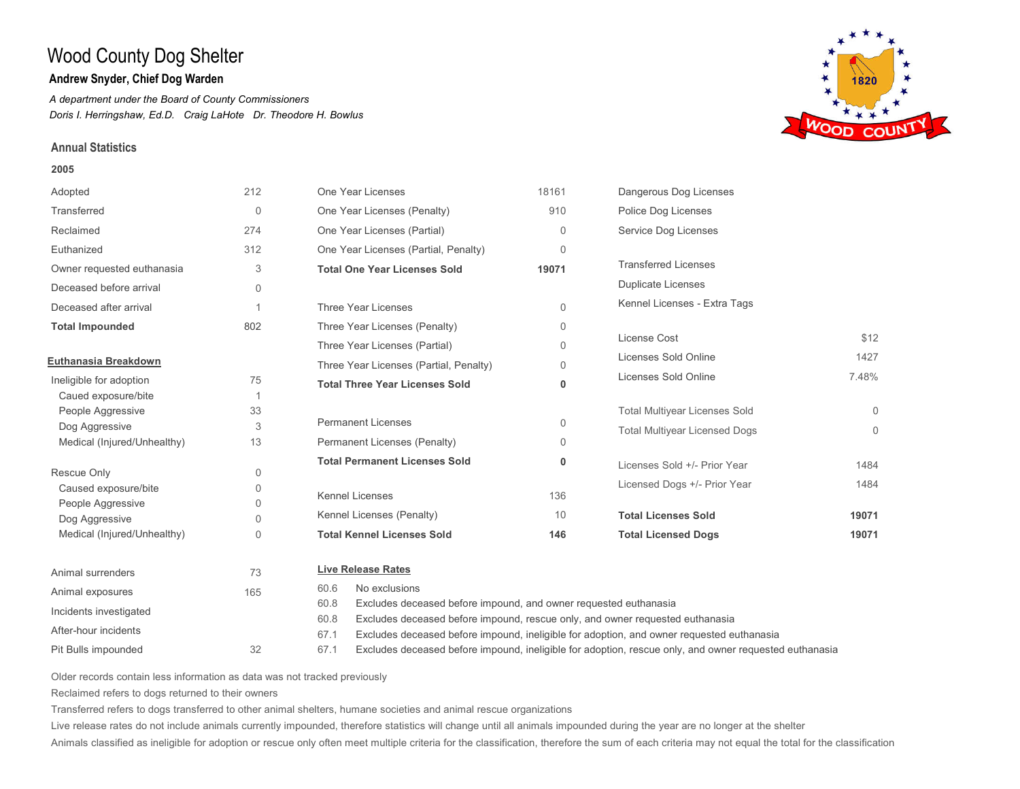## **Andrew Snyder, Chief Dog Warden**

*A department under the Board of County Commissioners Doris I. Herringshaw, Ed.D. Craig LaHote Dr. Theodore H. Bowlus*

## **Annual Statistics**

### **2005**



Pit Bulls impounded After-hour incidents

- Excludes deceased before impound, ineligible for adoption, and owner requested euthanasia 67.1
- Excludes deceased before impound, ineligible for adoption, rescue only, and owner requested euthanasia 67.1

Older records contain less information as data was not tracked previously

32

Reclaimed refers to dogs returned to their owners

Transferred refers to dogs transferred to other animal shelters, humane societies and animal rescue organizations

Live release rates do not include animals currently impounded, therefore statistics will change until all animals impounded during the year are no longer at the shelter

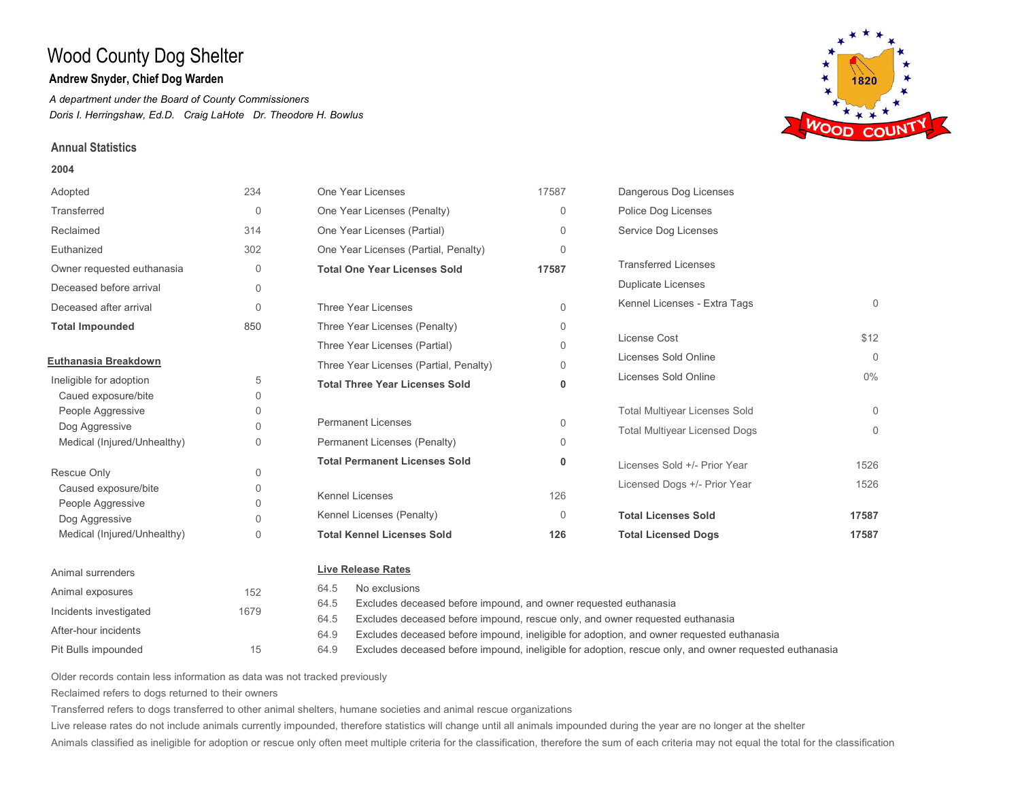## **Andrew Snyder, Chief Dog Warden**

*A department under the Board of County Commissioners Doris I. Herringshaw, Ed.D. Craig LaHote Dr. Theodore H. Bowlus*

## **Annual Statistics**

#### **2004**





Older records contain less information as data was not tracked previously

15

Reclaimed refers to dogs returned to their owners

Pit Bulls impounded

After-hour incidents

Transferred refers to dogs transferred to other animal shelters, humane societies and animal rescue organizations

64.5 64.9 64.9

Live release rates do not include animals currently impounded, therefore statistics will change until all animals impounded during the year are no longer at the shelter

Animals classified as ineligible for adoption or rescue only often meet multiple criteria for the classification, therefore the sum of each criteria may not equal the total for the classification

Excludes deceased before impound, rescue only, and owner requested euthanasia

Excludes deceased before impound, ineligible for adoption, and owner requested euthanasia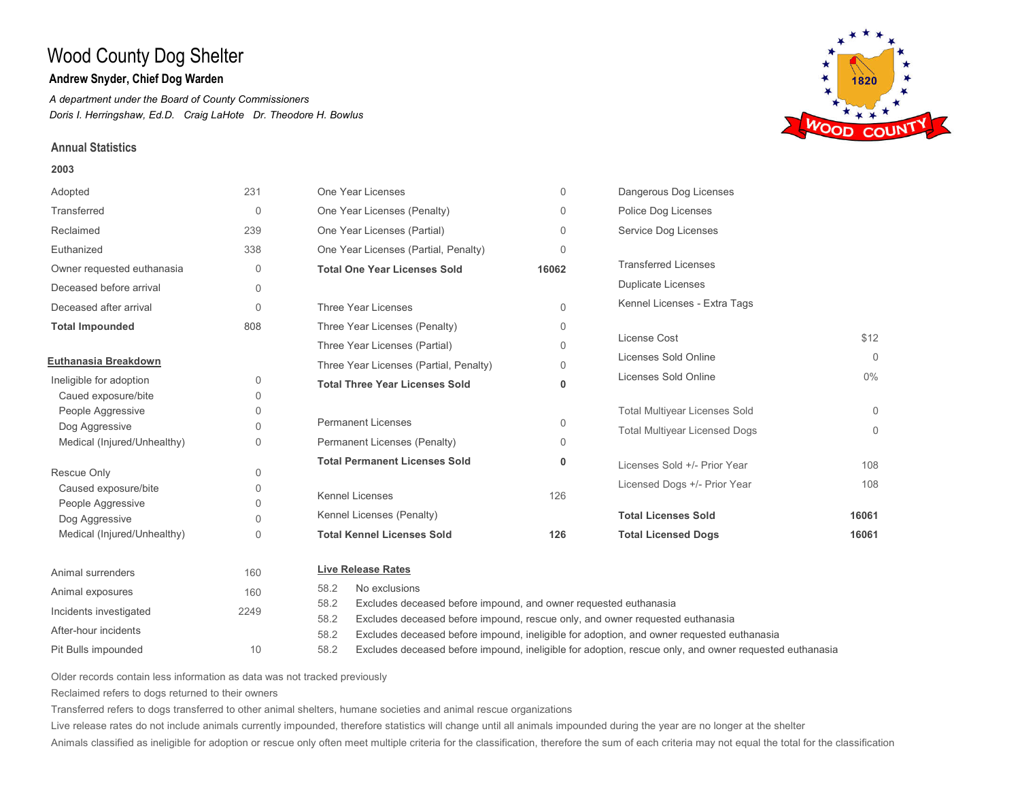## **Andrew Snyder, Chief Dog Warden**

*A department under the Board of County Commissioners Doris I. Herringshaw, Ed.D. Craig LaHote Dr. Theodore H. Bowlus*

### **Annual Statistics**

#### **2003**



Pit Bulls impounded After-hour incidents

- Excludes deceased before impound, ineligible for adoption, and owner requested euthanasia 58.2
- Excludes deceased before impound, ineligible for adoption, rescue only, and owner requested euthanasia 58.2

Older records contain less information as data was not tracked previously

10

Reclaimed refers to dogs returned to their owners

Transferred refers to dogs transferred to other animal shelters, humane societies and animal rescue organizations

Live release rates do not include animals currently impounded, therefore statistics will change until all animals impounded during the year are no longer at the shelter

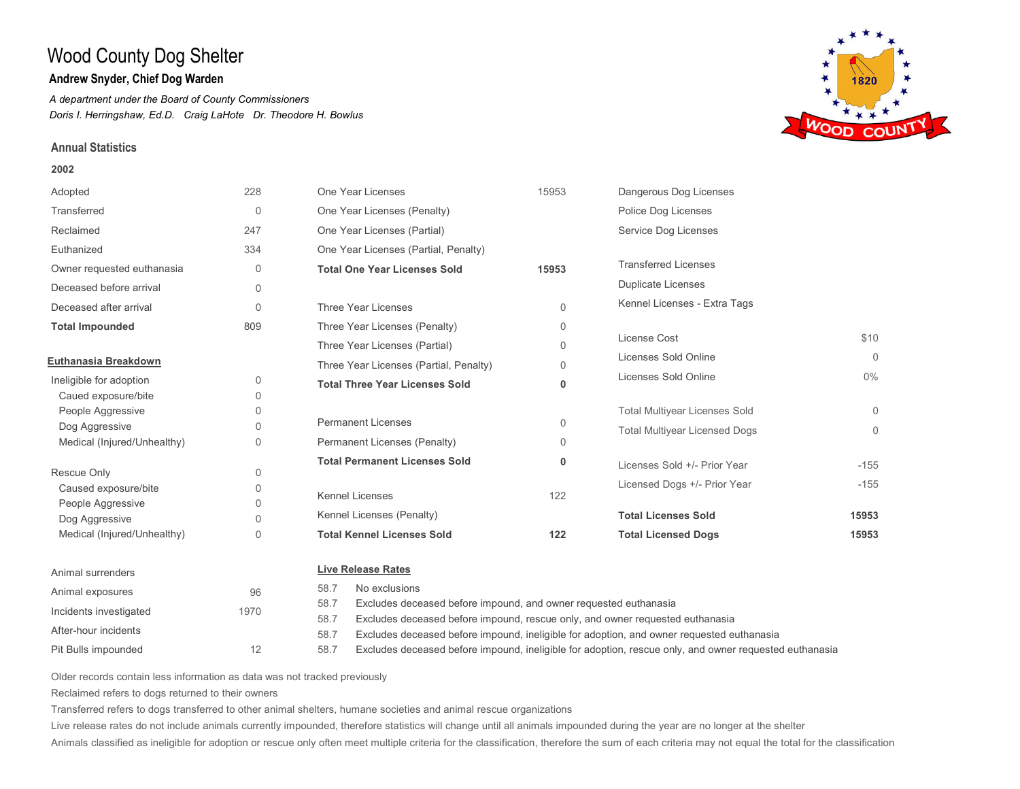## **Andrew Snyder, Chief Dog Warden**

*A department under the Board of County Commissioners Doris I. Herringshaw, Ed.D. Craig LaHote Dr. Theodore H. Bowlus*

### **Annual Statistics**

#### **2002**



| Adopted                     | 228          | One Year Licenses                                                                     | 15953                                                            | Dangerous Dog Licenses               |          |  |
|-----------------------------|--------------|---------------------------------------------------------------------------------------|------------------------------------------------------------------|--------------------------------------|----------|--|
| Transferred                 | $\mathbf{0}$ | One Year Licenses (Penalty)                                                           |                                                                  | Police Dog Licenses                  |          |  |
| Reclaimed                   | 247          | One Year Licenses (Partial)                                                           |                                                                  | Service Dog Licenses                 |          |  |
| Euthanized                  | 334          | One Year Licenses (Partial, Penalty)                                                  |                                                                  |                                      |          |  |
| Owner requested euthanasia  | $\Omega$     | <b>Total One Year Licenses Sold</b>                                                   | 15953                                                            | <b>Transferred Licenses</b>          |          |  |
| Deceased before arrival     | $\Omega$     |                                                                                       |                                                                  | <b>Duplicate Licenses</b>            |          |  |
| Deceased after arrival      | $\Omega$     | Three Year Licenses                                                                   | $\Omega$                                                         | Kennel Licenses - Extra Tags         |          |  |
| <b>Total Impounded</b>      | 809          | Three Year Licenses (Penalty)                                                         | 0                                                                |                                      |          |  |
|                             |              | Three Year Licenses (Partial)                                                         | 0                                                                | License Cost                         | \$10     |  |
| Euthanasia Breakdown        |              | Three Year Licenses (Partial, Penalty)                                                | $\Omega$                                                         | Licenses Sold Online                 | $\Omega$ |  |
| Ineligible for adoption     | $\mathbf 0$  | <b>Total Three Year Licenses Sold</b>                                                 | 0                                                                | Licenses Sold Online                 | $0\%$    |  |
| Caued exposure/bite         | 0            |                                                                                       |                                                                  |                                      |          |  |
| People Aggressive           | 0            |                                                                                       |                                                                  | <b>Total Multiyear Licenses Sold</b> | $\Omega$ |  |
| Dog Aggressive              | O.           | <b>Permanent Licenses</b>                                                             | 0                                                                | <b>Total Multiyear Licensed Dogs</b> | $\Omega$ |  |
| Medical (Injured/Unhealthy) | 0            | Permanent Licenses (Penalty)                                                          | 0                                                                |                                      |          |  |
|                             |              | <b>Total Permanent Licenses Sold</b>                                                  | 0                                                                | Licenses Sold +/- Prior Year         | $-155$   |  |
| Rescue Only                 | $\Omega$     |                                                                                       |                                                                  | Licensed Dogs +/- Prior Year         | $-155$   |  |
| Caused exposure/bite        | 0            | <b>Kennel Licenses</b>                                                                | 122                                                              |                                      |          |  |
| People Aggressive           | $\Omega$     | Kennel Licenses (Penalty)                                                             |                                                                  | <b>Total Licenses Sold</b>           | 15953    |  |
| Dog Aggressive              | O.           |                                                                                       |                                                                  |                                      |          |  |
| Medical (Injured/Unhealthy) | $\mathbf 0$  | <b>Total Kennel Licenses Sold</b>                                                     | 122                                                              | <b>Total Licensed Dogs</b>           | 15953    |  |
| Animal surrenders           |              | <b>Live Release Rates</b>                                                             |                                                                  |                                      |          |  |
| Animal exposures            | 96           | No exclusions<br>58.7                                                                 |                                                                  |                                      |          |  |
|                             |              | 58.7                                                                                  | Excludes deceased before impound, and owner requested euthanasia |                                      |          |  |
| Incidents investigated      | 1970         | Excludes deceased before impound, rescue only, and owner requested euthanasia<br>58.7 |                                                                  |                                      |          |  |

Pit Bulls impounded 12

Excludes deceased before impound, ineligible for adoption, rescue only, and owner requested euthanasia 58.7

Older records contain less information as data was not tracked previously

Reclaimed refers to dogs returned to their owners

After-hour incidents

Transferred refers to dogs transferred to other animal shelters, humane societies and animal rescue organizations

58.7

Live release rates do not include animals currently impounded, therefore statistics will change until all animals impounded during the year are no longer at the shelter

Animals classified as ineligible for adoption or rescue only often meet multiple criteria for the classification, therefore the sum of each criteria may not equal the total for the classification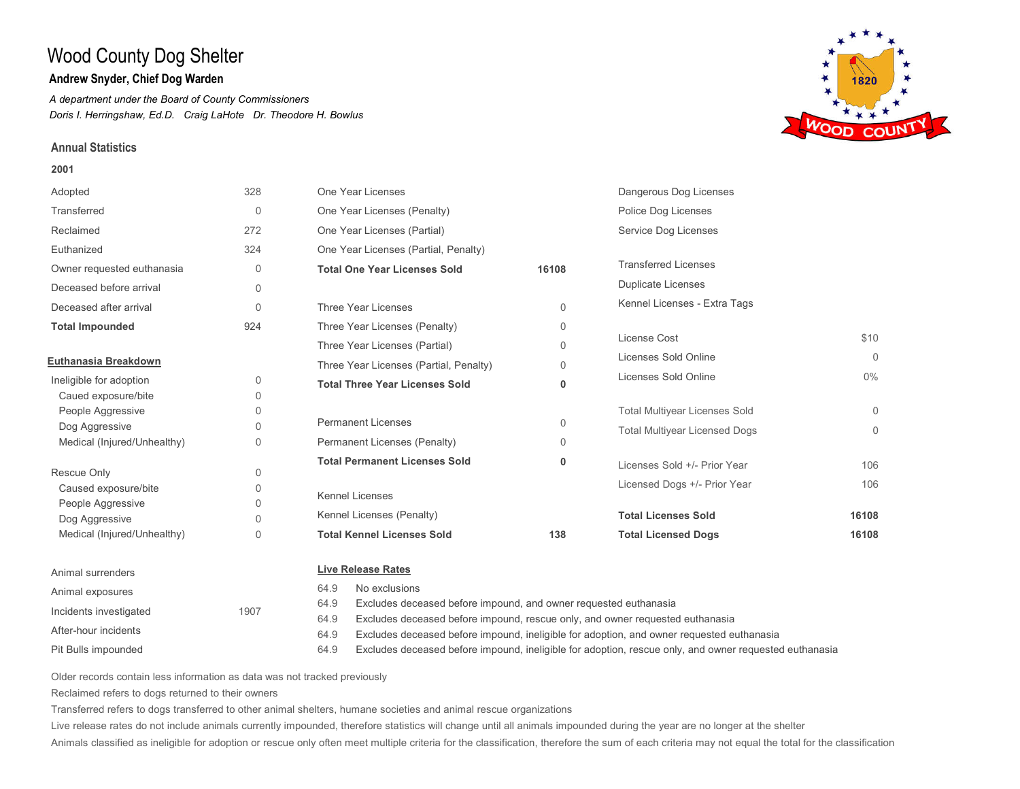## **Andrew Snyder, Chief Dog Warden**

*A department under the Board of County Commissioners Doris I. Herringshaw, Ed.D. Craig LaHote Dr. Theodore H. Bowlus*

### **Annual Statistics**

#### **2001**





Incidents investigated 1907 After-hour incidents 64.9 Excludes deceased before impound, and owner requested euthanasia Excludes deceased before impound, rescue only, and owner requested euthanasia 64.9

Pit Bulls impounded

- Excludes deceased before impound, ineligible for adoption, and owner requested euthanasia 64.9
- Excludes deceased before impound, ineligible for adoption, rescue only, and owner requested euthanasia 64.9

Older records contain less information as data was not tracked previously

Reclaimed refers to dogs returned to their owners

Transferred refers to dogs transferred to other animal shelters, humane societies and animal rescue organizations

Live release rates do not include animals currently impounded, therefore statistics will change until all animals impounded during the year are no longer at the shelter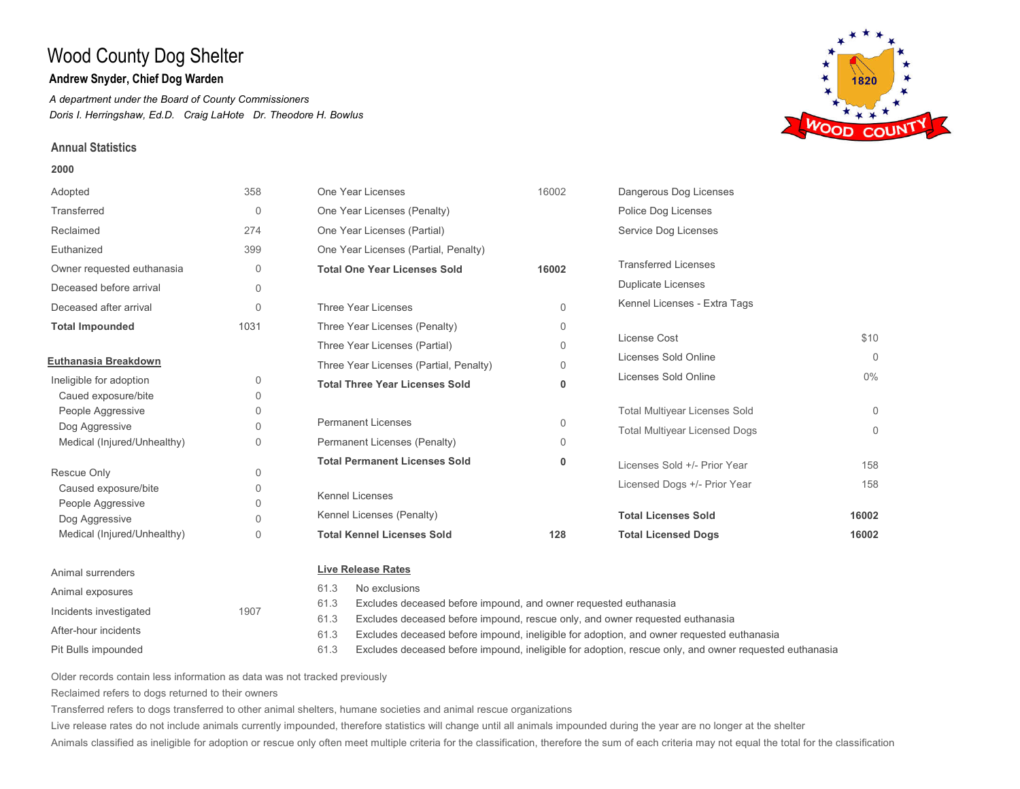## **Andrew Snyder, Chief Dog Warden**

*A department under the Board of County Commissioners Doris I. Herringshaw, Ed.D. Craig LaHote Dr. Theodore H. Bowlus*

### **Annual Statistics**

#### **2000**



| Adopted                     | 358          | One Year Licenses                      | 16002    | Dangerous Dog Licenses               |          |
|-----------------------------|--------------|----------------------------------------|----------|--------------------------------------|----------|
| Transferred                 | $\mathbf{0}$ | One Year Licenses (Penalty)            |          | Police Dog Licenses                  |          |
| Reclaimed                   | 274          | One Year Licenses (Partial)            |          | Service Dog Licenses                 |          |
| Euthanized                  | 399          | One Year Licenses (Partial, Penalty)   |          |                                      |          |
| Owner requested euthanasia  | $\mathbf{0}$ | <b>Total One Year Licenses Sold</b>    | 16002    | <b>Transferred Licenses</b>          |          |
| Deceased before arrival     | 0            |                                        |          | <b>Duplicate Licenses</b>            |          |
| Deceased after arrival      | $\mathbf{0}$ | Three Year Licenses                    | $\Omega$ | Kennel Licenses - Extra Tags         |          |
| <b>Total Impounded</b>      | 1031         | Three Year Licenses (Penalty)          | $\Omega$ |                                      |          |
|                             |              | Three Year Licenses (Partial)          | $\Omega$ | License Cost                         | \$10     |
| Euthanasia Breakdown        |              | Three Year Licenses (Partial, Penalty) | $\Omega$ | Licenses Sold Online                 | $\Omega$ |
| Ineligible for adoption     | 0            | <b>Total Three Year Licenses Sold</b>  | 0        | Licenses Sold Online                 | $0\%$    |
| Caued exposure/bite         | $\Omega$     |                                        |          |                                      |          |
| People Aggressive           | 0            |                                        |          | <b>Total Multiyear Licenses Sold</b> | $\Omega$ |
| Dog Aggressive              | $\Omega$     | <b>Permanent Licenses</b>              | 0        | <b>Total Multiyear Licensed Dogs</b> | $\Omega$ |
| Medical (Injured/Unhealthy) | $\Omega$     | Permanent Licenses (Penalty)           | $\Omega$ |                                      |          |
|                             |              | <b>Total Permanent Licenses Sold</b>   | 0        | Licenses Sold +/- Prior Year         | 158      |
| Rescue Only                 | 0            |                                        |          | Licensed Dogs +/- Prior Year         | 158      |
| Caused exposure/bite        | $\Omega$     | <b>Kennel Licenses</b>                 |          |                                      |          |
| People Aggressive           | $\Omega$     | Kennel Licenses (Penalty)              |          | <b>Total Licenses Sold</b>           | 16002    |
| Dog Aggressive              | $\Omega$     | <b>Total Kennel Licenses Sold</b>      |          |                                      |          |
| Medical (Injured/Unhealthy) | 0            |                                        | 128      | <b>Total Licensed Dogs</b>           | 16002    |
| Animal surrenders           |              | <b>Live Release Rates</b>              |          |                                      |          |
| Animal exposures            |              | No exclusions<br>61.3                  |          |                                      |          |

61.3 Excludes deceased before impound, and owner requested euthanasia

Excludes deceased before impound, rescue only, and owner requested euthanasia 61.3

Excludes deceased before impound, ineligible for adoption, and owner requested euthanasia 61.3

Excludes deceased before impound, ineligible for adoption, rescue only, and owner requested euthanasia 61.3

Older records contain less information as data was not tracked previously

1907

Reclaimed refers to dogs returned to their owners

Pit Bulls impounded

After-hour incidents

Incidents investigated

Transferred refers to dogs transferred to other animal shelters, humane societies and animal rescue organizations

Live release rates do not include animals currently impounded, therefore statistics will change until all animals impounded during the year are no longer at the shelter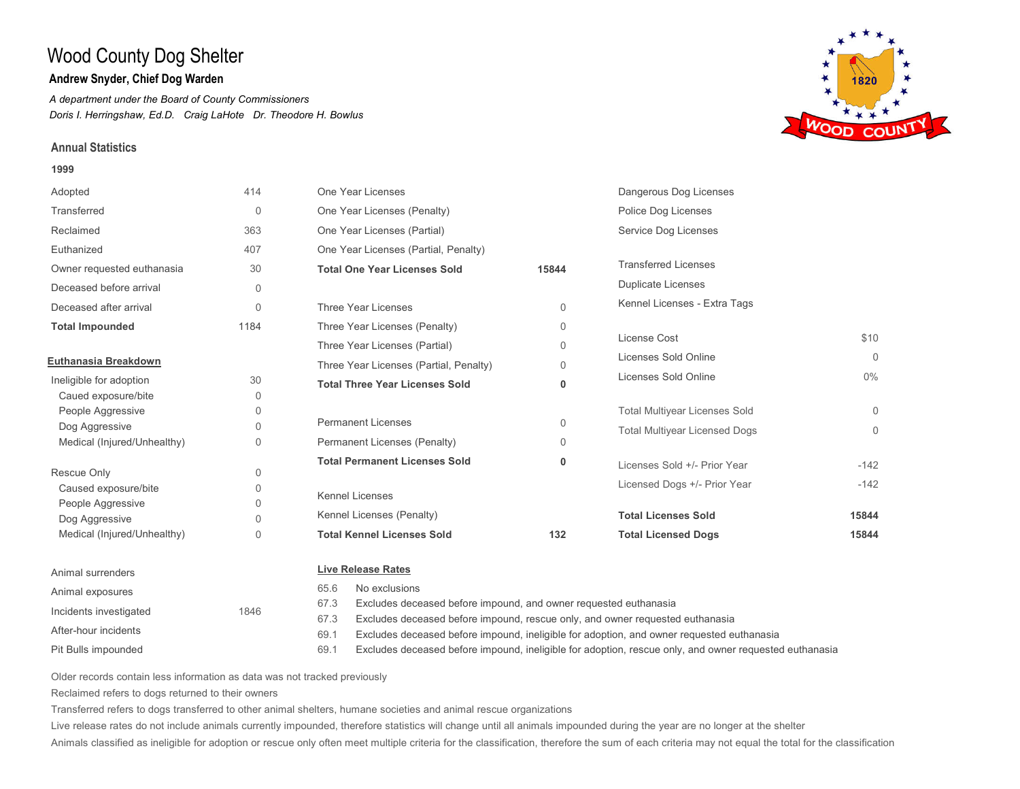## **Andrew Snyder, Chief Dog Warden**

*A department under the Board of County Commissioners Doris I. Herringshaw, Ed.D. Craig LaHote Dr. Theodore H. Bowlus*

### **Annual Statistics**

Pit Bulls impounded

After-hour incidents

Incidents investigated 1846

#### **1999**





Older records contain less information as data was not tracked previously

Transferred refers to dogs transferred to other animal shelters, humane societies and animal rescue organizations

Live release rates do not include animals currently impounded, therefore statistics will change until all animals impounded during the year are no longer at the shelter

Animals classified as ineligible for adoption or rescue only often meet multiple criteria for the classification, therefore the sum of each criteria may not equal the total for the classification

67.3 Excludes deceased before impound, and owner requested euthanasia

Excludes deceased before impound, rescue only, and owner requested euthanasia 67.3

Excludes deceased before impound, ineligible for adoption, and owner requested euthanasia 69.1

Excludes deceased before impound, ineligible for adoption, rescue only, and owner requested euthanasia 69.1

Reclaimed refers to dogs returned to their owners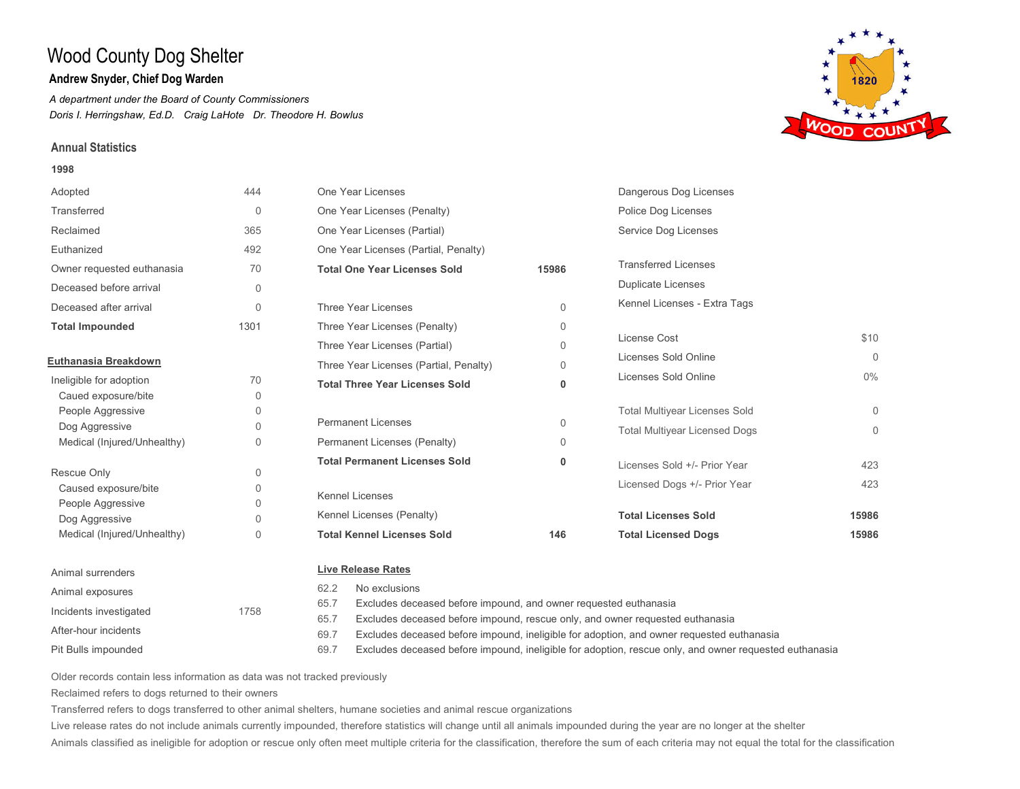## **Andrew Snyder, Chief Dog Warden**

*A department under the Board of County Commissioners Doris I. Herringshaw, Ed.D. Craig LaHote Dr. Theodore H. Bowlus*

### **Annual Statistics**

#### **1998**



65.7 Excludes deceased before impound, and owner requested euthanasia

Excludes deceased before impound, rescue only, and owner requested euthanasia 65.7

Excludes deceased before impound, ineligible for adoption, and owner requested euthanasia 69.7

Excludes deceased before impound, ineligible for adoption, rescue only, and owner requested euthanasia 69.7

Older records contain less information as data was not tracked previously

Reclaimed refers to dogs returned to their owners

Incidents investigated 1758

Pit Bulls impounded

After-hour incidents

Transferred refers to dogs transferred to other animal shelters, humane societies and animal rescue organizations

Live release rates do not include animals currently impounded, therefore statistics will change until all animals impounded during the year are no longer at the shelter

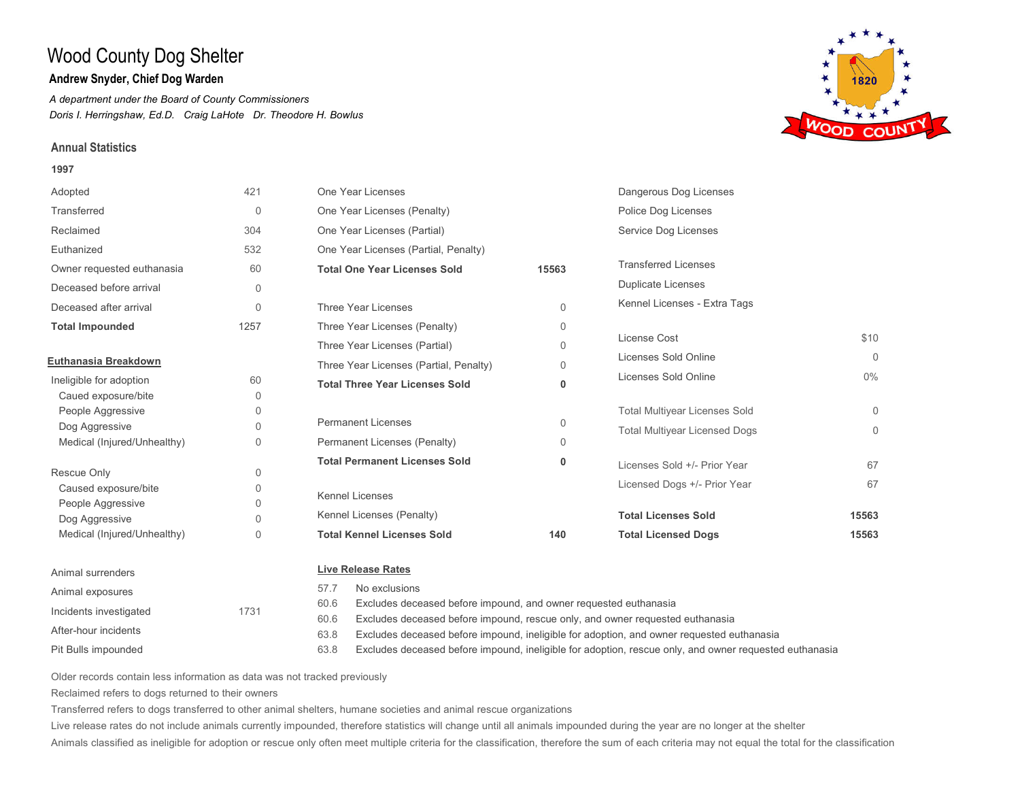## **Andrew Snyder, Chief Dog Warden**

*A department under the Board of County Commissioners Doris I. Herringshaw, Ed.D. Craig LaHote Dr. Theodore H. Bowlus*

### **Annual Statistics**

#### **1997**



Pit Bulls impounded After-hour incidents

Excludes deceased before impound, and owner requested euthanasia

- Excludes deceased before impound, rescue only, and owner requested euthanasia 60.6
- Excludes deceased before impound, ineligible for adoption, and owner requested euthanasia 63.8
- Excludes deceased before impound, ineligible for adoption, rescue only, and owner requested euthanasia 63.8

Older records contain less information as data was not tracked previously

Reclaimed refers to dogs returned to their owners

Incidents investigated 1731

Transferred refers to dogs transferred to other animal shelters, humane societies and animal rescue organizations

Live release rates do not include animals currently impounded, therefore statistics will change until all animals impounded during the year are no longer at the shelter

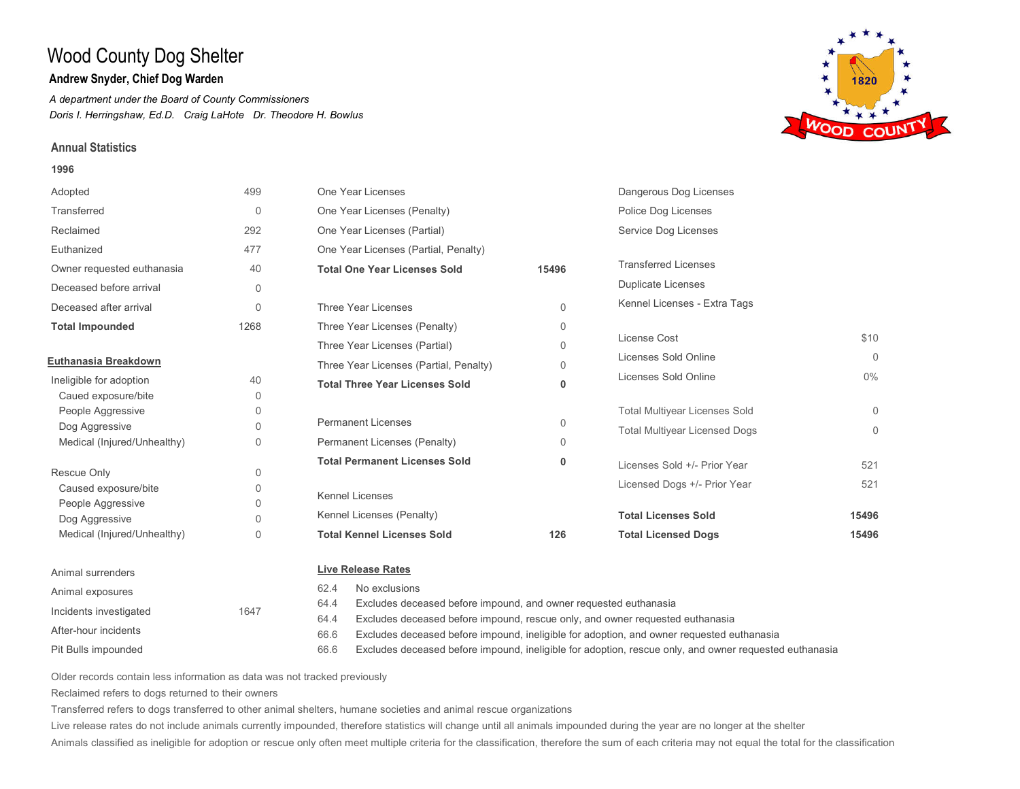## **Andrew Snyder, Chief Dog Warden**

*A department under the Board of County Commissioners Doris I. Herringshaw, Ed.D. Craig LaHote Dr. Theodore H. Bowlus*

### **Annual Statistics**

#### **1996**



Pit Bulls impounded After-hour incidents

Excludes deceased before impound, rescue only, and owner requested euthanasia 64.4

Excludes deceased before impound, ineligible for adoption, and owner requested euthanasia 66.6

Excludes deceased before impound, ineligible for adoption, rescue only, and owner requested euthanasia 66.6

Older records contain less information as data was not tracked previously

Reclaimed refers to dogs returned to their owners

Transferred refers to dogs transferred to other animal shelters, humane societies and animal rescue organizations

Live release rates do not include animals currently impounded, therefore statistics will change until all animals impounded during the year are no longer at the shelter

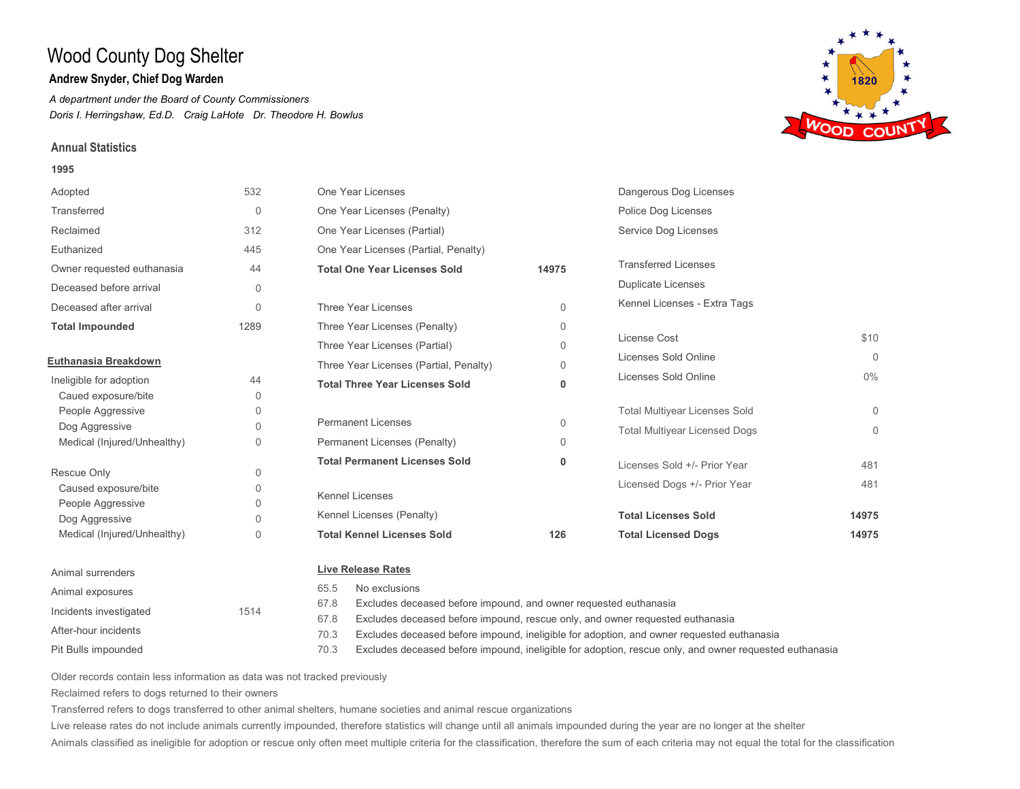## **Andrew Snyder, Chief Dog Warden**

*A department under the Board of County Commissioners Doris I. Herringshaw, Ed.D. Craig LaHote Dr. Theodore H. Bowlus*

### **Annual Statistics**

#### **1995**



Pit Bulls impounded After-hour incidents

Excludes deceased before impound, and owner requested euthanasia

- Excludes deceased before impound, rescue only, and owner requested euthanasia 67.8
- Excludes deceased before impound, ineligible for adoption, and owner requested euthanasia 70.3
- Excludes deceased before impound, ineligible for adoption, rescue only, and owner requested euthanasia 70.3

Older records contain less information as data was not tracked previously

Reclaimed refers to dogs returned to their owners

Transferred refers to dogs transferred to other animal shelters, humane societies and animal rescue organizations

Live release rates do not include animals currently impounded, therefore statistics will change until all animals impounded during the year are no longer at the shelter

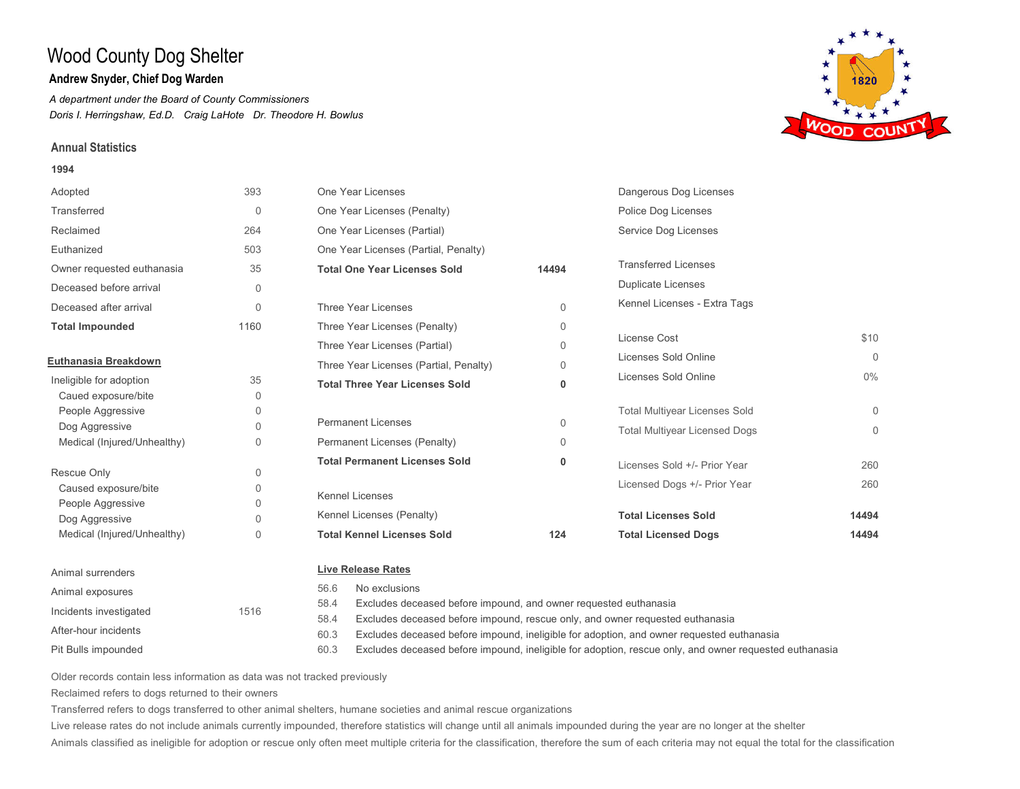## **Andrew Snyder, Chief Dog Warden**

*A department under the Board of County Commissioners Doris I. Herringshaw, Ed.D. Craig LaHote Dr. Theodore H. Bowlus*

### **Annual Statistics**

#### **1994**





Older records contain less information as data was not tracked previously

Reclaimed refers to dogs returned to their owners

Pit Bulls impounded

After-hour incidents

Transferred refers to dogs transferred to other animal shelters, humane societies and animal rescue organizations

58.4 60.3 60.3

Live release rates do not include animals currently impounded, therefore statistics will change until all animals impounded during the year are no longer at the shelter

Animals classified as ineligible for adoption or rescue only often meet multiple criteria for the classification, therefore the sum of each criteria may not equal the total for the classification

Excludes deceased before impound, ineligible for adoption, and owner requested euthanasia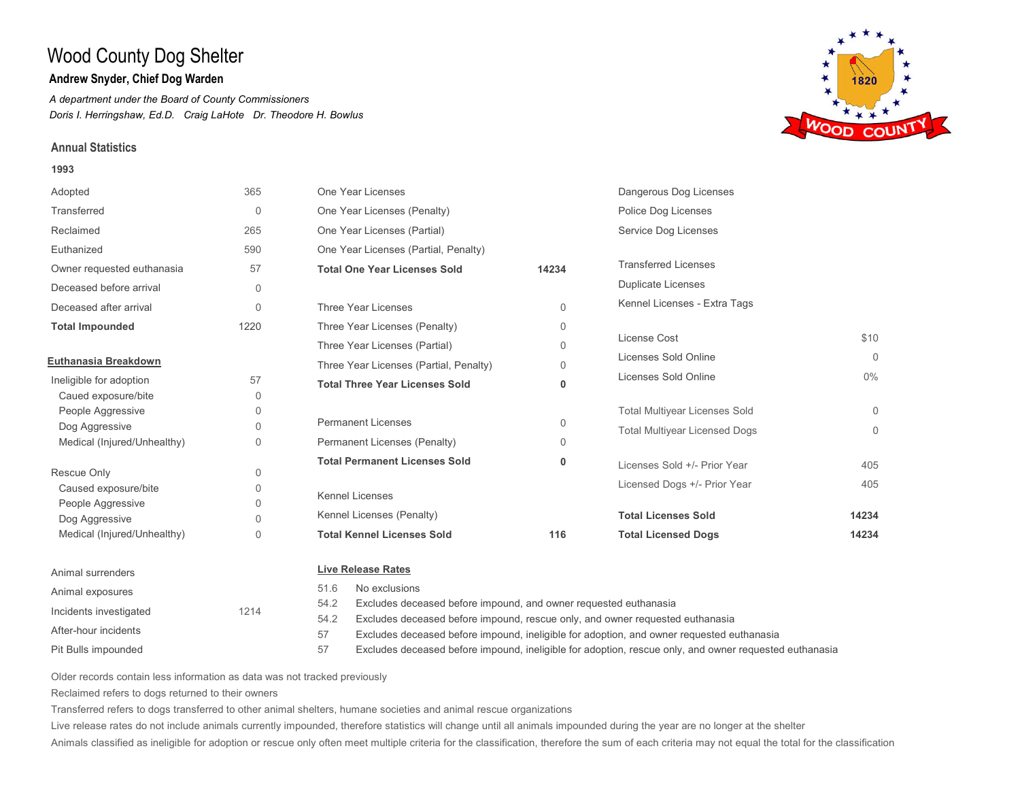## **Andrew Snyder, Chief Dog Warden**

*A department under the Board of County Commissioners Doris I. Herringshaw, Ed.D. Craig LaHote Dr. Theodore H. Bowlus*

## **Annual Statistics**

Pit Bulls impounded

After-hour incidents

### **1993**



1820 **VOOD COUN** 

| Older records contain less information as data was not tracked previously |  |
|---------------------------------------------------------------------------|--|
| Reclaimed refers to dogs returned to their owners                         |  |

Transferred refers to dogs transferred to other animal shelters, humane societies and animal rescue organizations

54.2 57 57

Live release rates do not include animals currently impounded, therefore statistics will change until all animals impounded during the year are no longer at the shelter

Animals classified as ineligible for adoption or rescue only often meet multiple criteria for the classification, therefore the sum of each criteria may not equal the total for the classification

Excludes deceased before impound, rescue only, and owner requested euthanasia

Excludes deceased before impound, ineligible for adoption, and owner requested euthanasia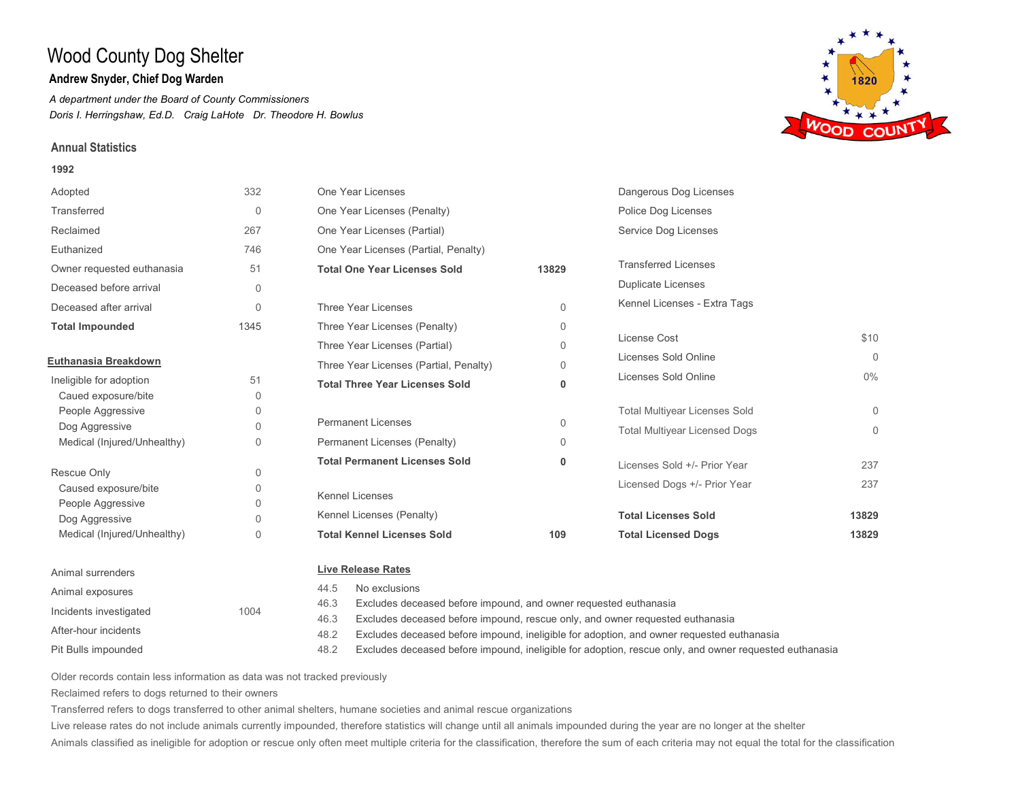## **Andrew Snyder, Chief Dog Warden**

*A department under the Board of County Commissioners Doris I. Herringshaw, Ed.D. Craig LaHote Dr. Theodore H. Bowlus*

### **Annual Statistics**

#### **1992**





Older records contain less information as data was not tracked previously

Reclaimed refers to dogs returned to their owners

Pit Bulls impounded

After-hour incidents

Transferred refers to dogs transferred to other animal shelters, humane societies and animal rescue organizations

46.3 48.2 48.2

Live release rates do not include animals currently impounded, therefore statistics will change until all animals impounded during the year are no longer at the shelter

Animals classified as ineligible for adoption or rescue only often meet multiple criteria for the classification, therefore the sum of each criteria may not equal the total for the classification

Excludes deceased before impound, rescue only, and owner requested euthanasia

Excludes deceased before impound, ineligible for adoption, and owner requested euthanasia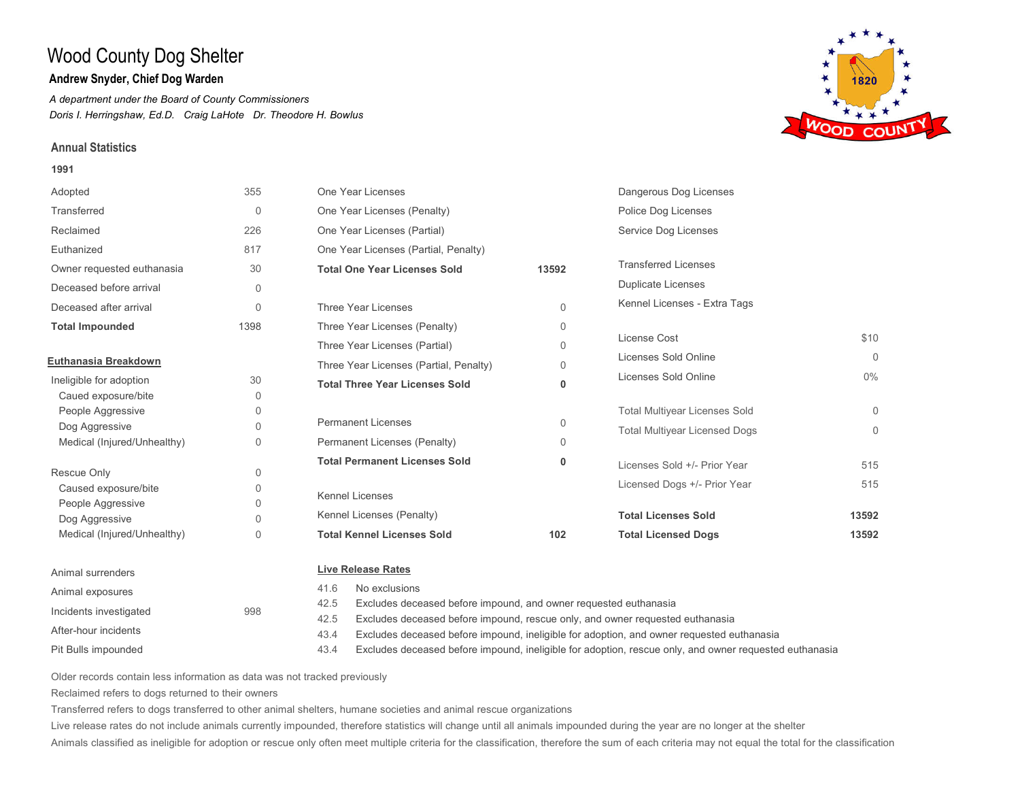## **Andrew Snyder, Chief Dog Warden**

*A department under the Board of County Commissioners Doris I. Herringshaw, Ed.D. Craig LaHote Dr. Theodore H. Bowlus*

### **Annual Statistics**

#### **1991**



42.5 Excludes deceased before impound, and owner requested euthanasia

Excludes deceased before impound, rescue only, and owner requested euthanasia 42.5

Excludes deceased before impound, ineligible for adoption, and owner requested euthanasia 43.4

Excludes deceased before impound, ineligible for adoption, rescue only, and owner requested euthanasia 43.4

Older records contain less information as data was not tracked previously

Reclaimed refers to dogs returned to their owners

Incidents investigated 998

Pit Bulls impounded

After-hour incidents

Transferred refers to dogs transferred to other animal shelters, humane societies and animal rescue organizations

Live release rates do not include animals currently impounded, therefore statistics will change until all animals impounded during the year are no longer at the shelter

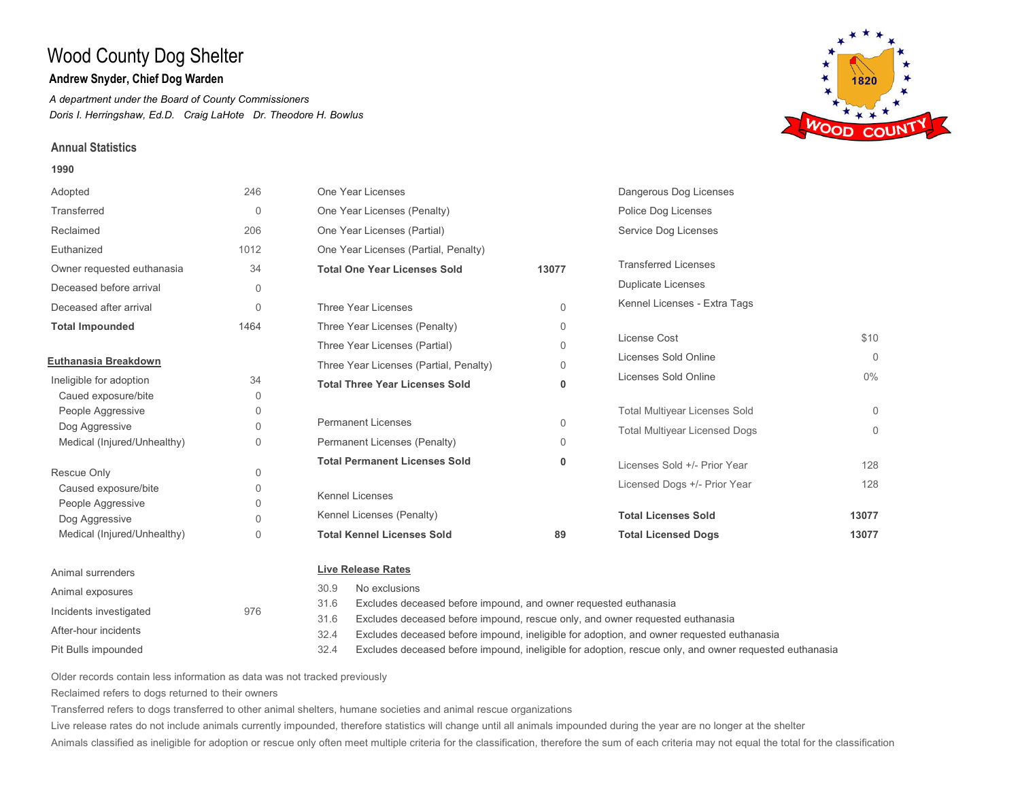## **Andrew Snyder, Chief Dog Warden**

*A department under the Board of County Commissioners Doris I. Herringshaw, Ed.D. Craig LaHote Dr. Theodore H. Bowlus*

### **Annual Statistics**

#### **1990**



1820

31.6 Excludes deceased before impound, and owner requested euthanasia

Excludes deceased before impound, rescue only, and owner requested euthanasia 31.6

Excludes deceased before impound, ineligible for adoption, and owner requested euthanasia 32.4

Excludes deceased before impound, ineligible for adoption, rescue only, and owner requested euthanasia 32.4

Older records contain less information as data was not tracked previously

Reclaimed refers to dogs returned to their owners

Incidents investigated 976

Pit Bulls impounded

After-hour incidents

Transferred refers to dogs transferred to other animal shelters, humane societies and animal rescue organizations

Live release rates do not include animals currently impounded, therefore statistics will change until all animals impounded during the year are no longer at the shelter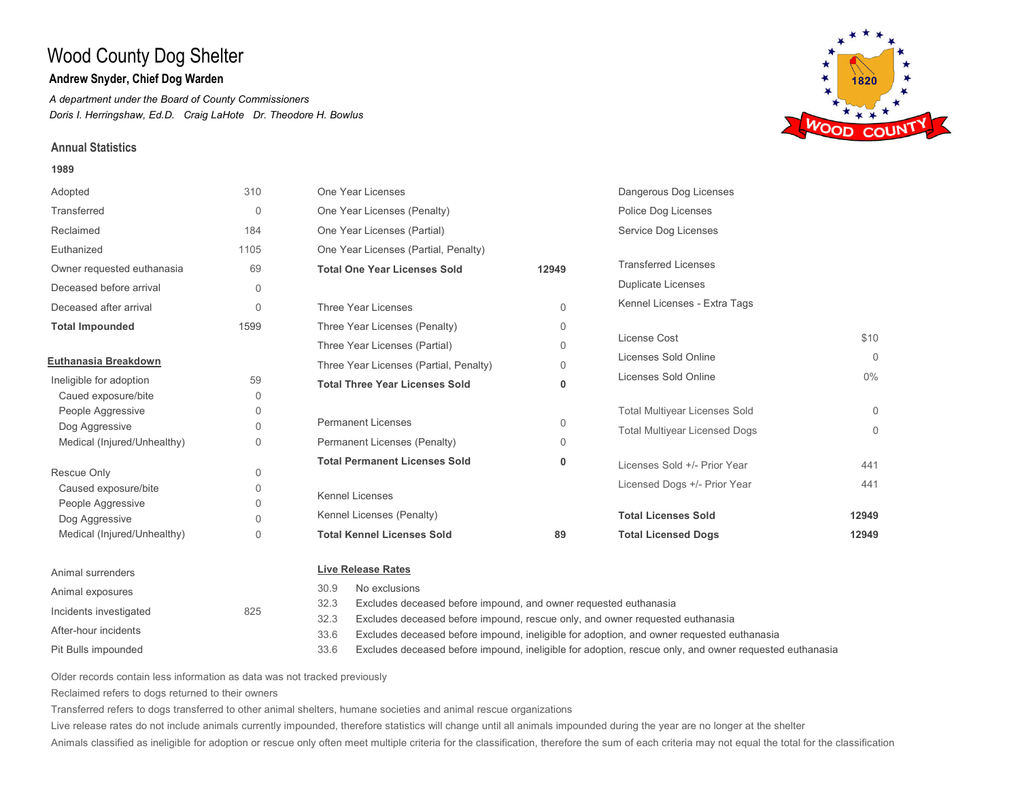## **Andrew Snyder, Chief Dog Warden**

*A department under the Board of County Commissioners Doris I. Herringshaw, Ed.D. Craig LaHote Dr. Theodore H. Bowlus*

## **Annual Statistics**

#### **1989**



Pit Bulls impounded After-hour incidents

- Excludes deceased before impound, rescue only, and owner requested euthanasia 32.3
- Excludes deceased before impound, ineligible for adoption, and owner requested euthanasia 33.6
- Excludes deceased before impound, ineligible for adoption, rescue only, and owner requested euthanasia 33.6

Older records contain less information as data was not tracked previously

Reclaimed refers to dogs returned to their owners

Transferred refers to dogs transferred to other animal shelters, humane societies and animal rescue organizations

Live release rates do not include animals currently impounded, therefore statistics will change until all animals impounded during the year are no longer at the shelter

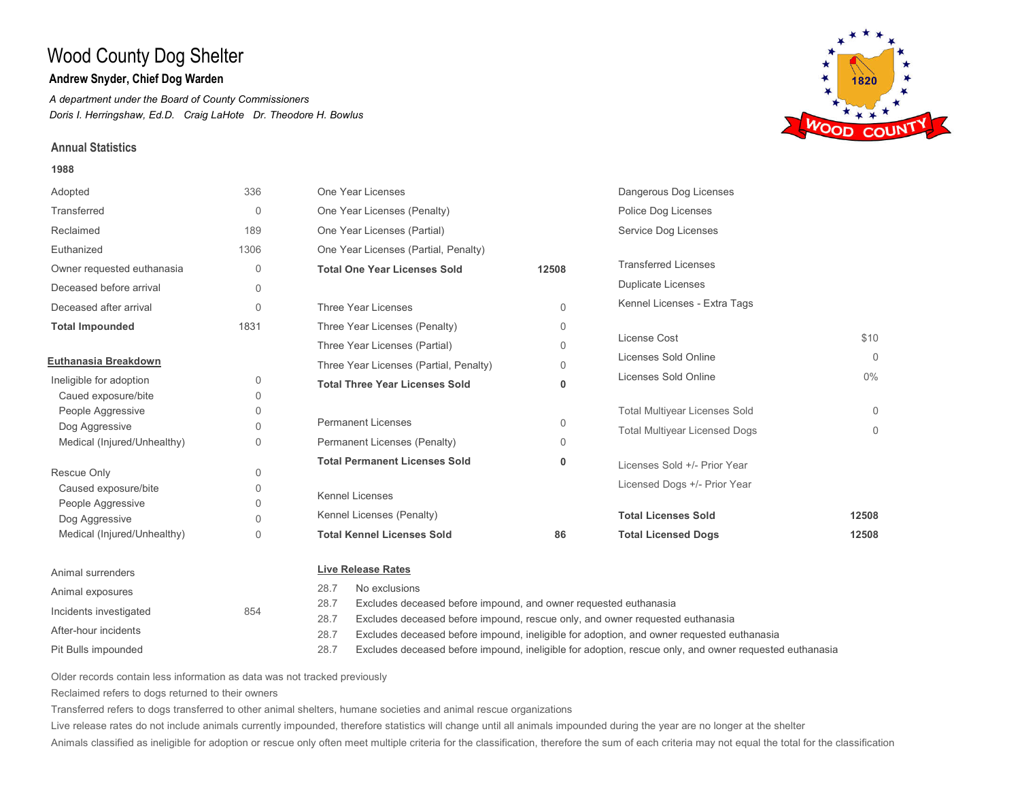## **Andrew Snyder, Chief Dog Warden**

*A department under the Board of County Commissioners Doris I. Herringshaw, Ed.D. Craig LaHote Dr. Theodore H. Bowlus*

## **Annual Statistics**

#### **1988**



Pit Bulls impounded After-hour incidents

- Excludes deceased before impound, rescue only, and owner requested euthanasia 28.7
- Excludes deceased before impound, ineligible for adoption, and owner requested euthanasia 28.7
- Excludes deceased before impound, ineligible for adoption, rescue only, and owner requested euthanasia 28.7

Older records contain less information as data was not tracked previously

Reclaimed refers to dogs returned to their owners

Transferred refers to dogs transferred to other animal shelters, humane societies and animal rescue organizations

Live release rates do not include animals currently impounded, therefore statistics will change until all animals impounded during the year are no longer at the shelter

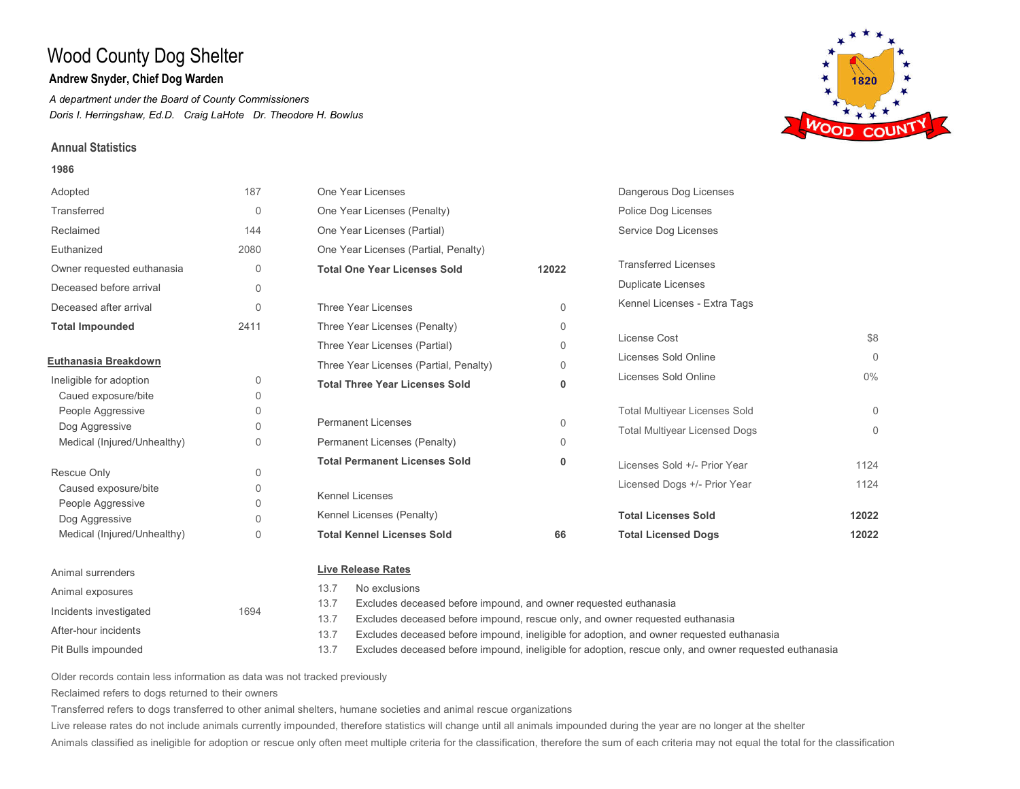## **Andrew Snyder, Chief Dog Warden**

*A department under the Board of County Commissioners Doris I. Herringshaw, Ed.D. Craig LaHote Dr. Theodore H. Bowlus*

### **Annual Statistics**

#### **1986**



Pit Bulls impounded Incidents investigated 1694 After-hour incidents

Excludes deceased before impound, and owner requested euthanasia

- Excludes deceased before impound, rescue only, and owner requested euthanasia 13.7
- Excludes deceased before impound, ineligible for adoption, and owner requested euthanasia 13.7
- Excludes deceased before impound, ineligible for adoption, rescue only, and owner requested euthanasia 13.7

Older records contain less information as data was not tracked previously

Reclaimed refers to dogs returned to their owners

Transferred refers to dogs transferred to other animal shelters, humane societies and animal rescue organizations

Live release rates do not include animals currently impounded, therefore statistics will change until all animals impounded during the year are no longer at the shelter

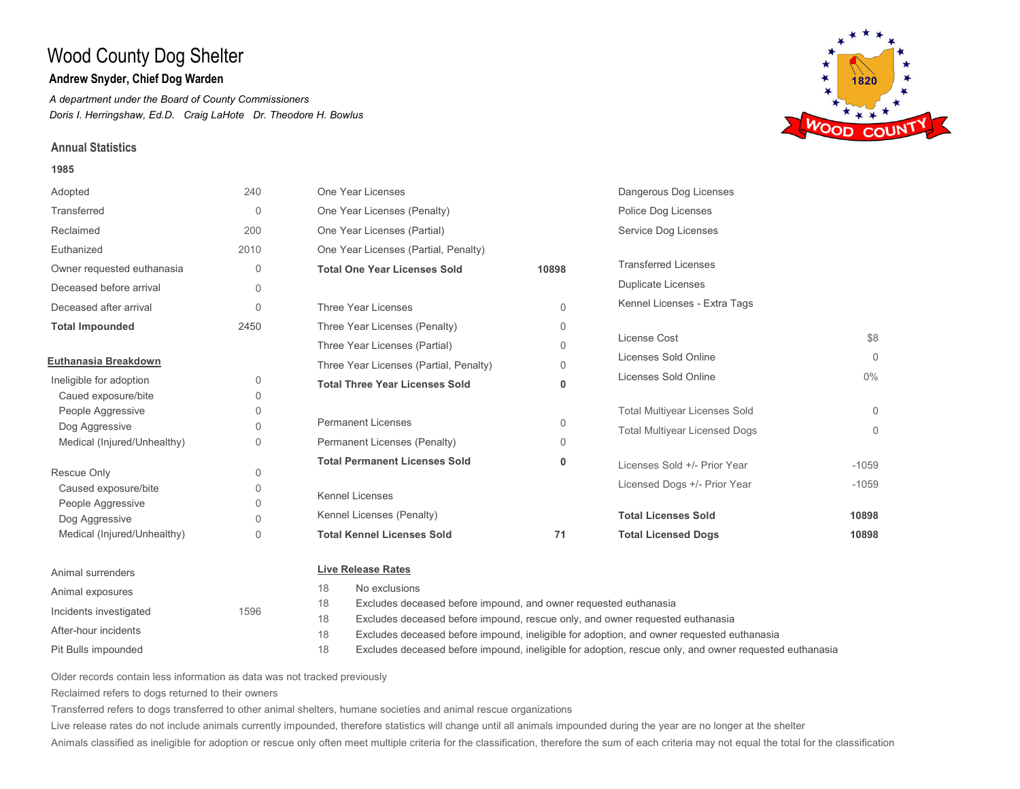## **Andrew Snyder, Chief Dog Warden**

*A department under the Board of County Commissioners Doris I. Herringshaw, Ed.D. Craig LaHote Dr. Theodore H. Bowlus*

## **Annual Statistics**

#### **1985**



Pit Bulls impounded After-hour incidents

#### Excludes deceased before impound, rescue only, and owner requested euthanasia 18

Excludes deceased before impound, ineligible for adoption, and owner requested euthanasia 18

Excludes deceased before impound, ineligible for adoption, rescue only, and owner requested euthanasia 18

Older records contain less information as data was not tracked previously

Reclaimed refers to dogs returned to their owners

Transferred refers to dogs transferred to other animal shelters, humane societies and animal rescue organizations

Live release rates do not include animals currently impounded, therefore statistics will change until all animals impounded during the year are no longer at the shelter

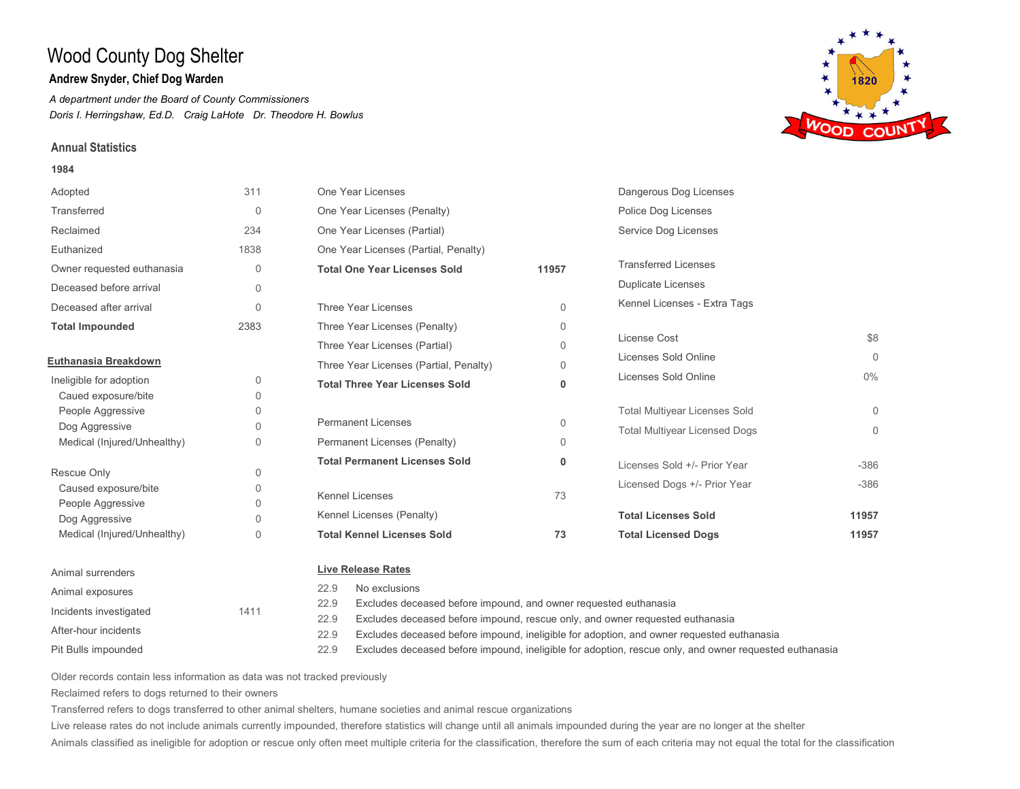## **Andrew Snyder, Chief Dog Warden**

*A department under the Board of County Commissioners Doris I. Herringshaw, Ed.D. Craig LaHote Dr. Theodore H. Bowlus*

### **Annual Statistics**

#### **1984**



Older records contain less information as data was not tracked previously

Reclaimed refers to dogs returned to their owners

Pit Bulls impounded

After-hour incidents

Transferred refers to dogs transferred to other animal shelters, humane societies and animal rescue organizations

22.9 22.9 22.9

Live release rates do not include animals currently impounded, therefore statistics will change until all animals impounded during the year are no longer at the shelter

Animals classified as ineligible for adoption or rescue only often meet multiple criteria for the classification, therefore the sum of each criteria may not equal the total for the classification

Excludes deceased before impound, rescue only, and owner requested euthanasia

Excludes deceased before impound, ineligible for adoption, and owner requested euthanasia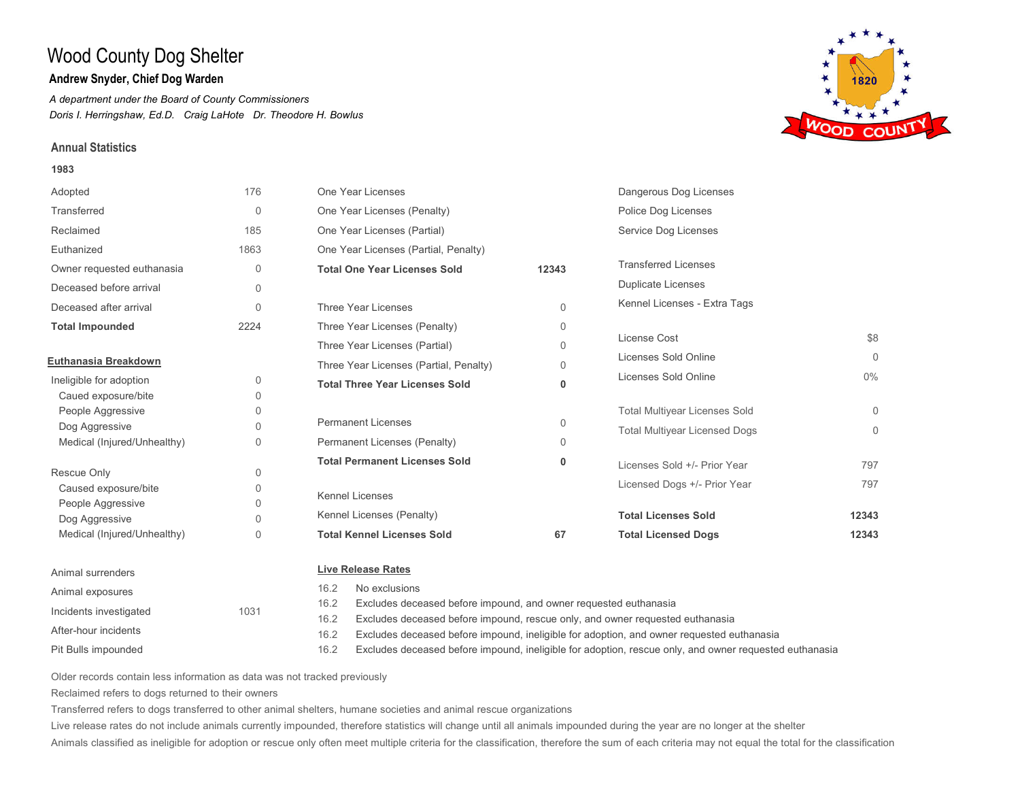## **Andrew Snyder, Chief Dog Warden**

*A department under the Board of County Commissioners Doris I. Herringshaw, Ed.D. Craig LaHote Dr. Theodore H. Bowlus*

### **Annual Statistics**

#### **1983**



Pit Bulls impounded Incidents investigated 1031 After-hour incidents

Excludes deceased before impound, and owner requested euthanasia

- Excludes deceased before impound, rescue only, and owner requested euthanasia 16.2
- Excludes deceased before impound, ineligible for adoption, and owner requested euthanasia 16.2
- Excludes deceased before impound, ineligible for adoption, rescue only, and owner requested euthanasia 16.2

Older records contain less information as data was not tracked previously

Reclaimed refers to dogs returned to their owners

Transferred refers to dogs transferred to other animal shelters, humane societies and animal rescue organizations

Live release rates do not include animals currently impounded, therefore statistics will change until all animals impounded during the year are no longer at the shelter

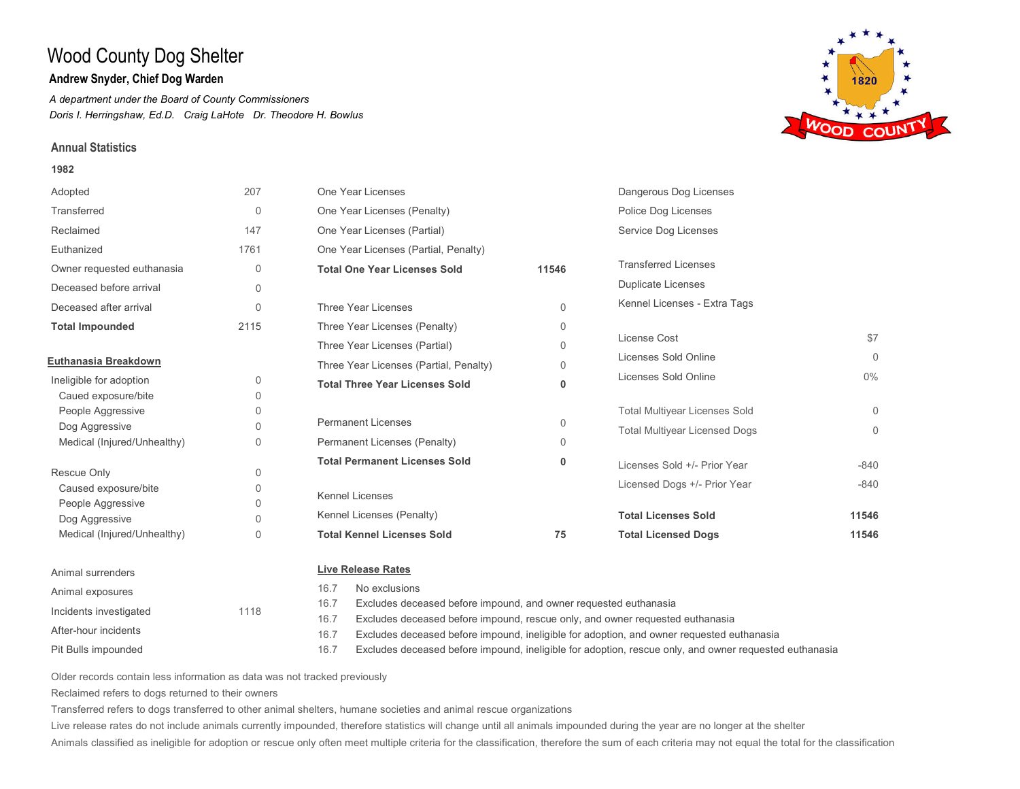## **Andrew Snyder, Chief Dog Warden**

*A department under the Board of County Commissioners Doris I. Herringshaw, Ed.D. Craig LaHote Dr. Theodore H. Bowlus*

### **Annual Statistics**

#### **1982**



16.7 Excludes deceased before impound, and owner requested euthanasia

Excludes deceased before impound, rescue only, and owner requested euthanasia 16.7

Excludes deceased before impound, ineligible for adoption, and owner requested euthanasia 16.7

Excludes deceased before impound, ineligible for adoption, rescue only, and owner requested euthanasia 16.7

Older records contain less information as data was not tracked previously

Reclaimed refers to dogs returned to their owners

Incidents investigated 1118

Pit Bulls impounded

After-hour incidents

Transferred refers to dogs transferred to other animal shelters, humane societies and animal rescue organizations

Live release rates do not include animals currently impounded, therefore statistics will change until all animals impounded during the year are no longer at the shelter

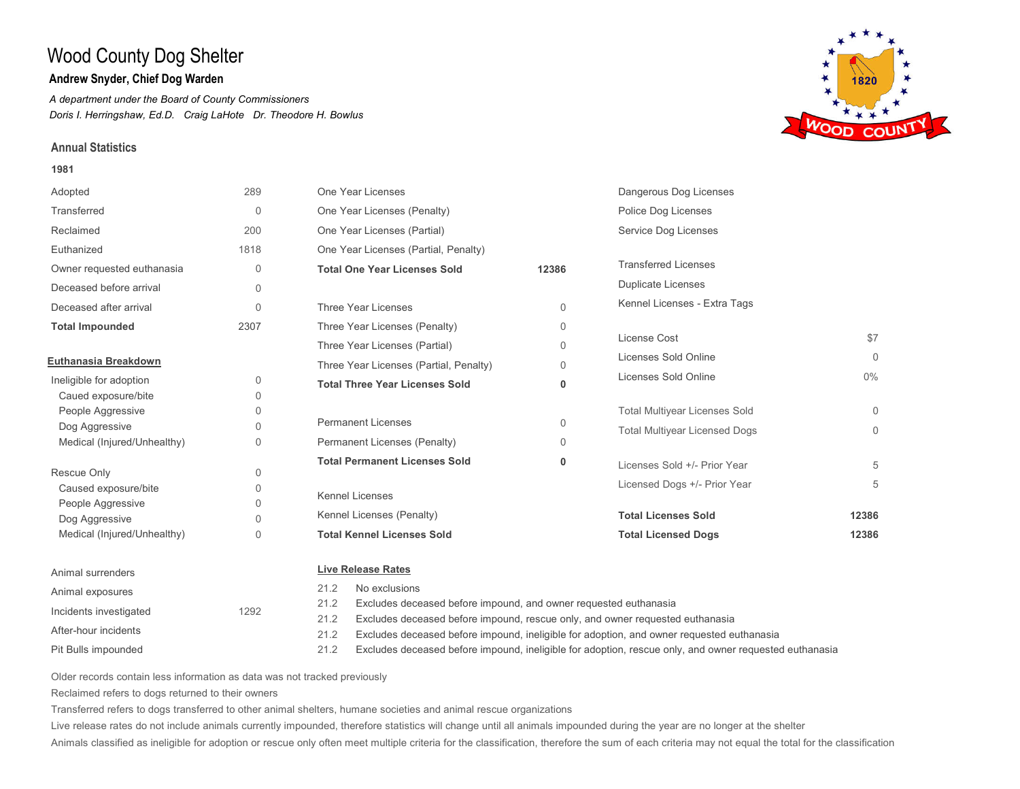## **Andrew Snyder, Chief Dog Warden**

*A department under the Board of County Commissioners Doris I. Herringshaw, Ed.D. Craig LaHote Dr. Theodore H. Bowlus*

### **Annual Statistics**

#### **1981**



Pit Bulls impounded After-hour incidents

- Excludes deceased before impound, rescue only, and owner requested euthanasia 21.2
- Excludes deceased before impound, ineligible for adoption, and owner requested euthanasia 21.2
- Excludes deceased before impound, ineligible for adoption, rescue only, and owner requested euthanasia 21.2

Older records contain less information as data was not tracked previously

Reclaimed refers to dogs returned to their owners

Transferred refers to dogs transferred to other animal shelters, humane societies and animal rescue organizations

Live release rates do not include animals currently impounded, therefore statistics will change until all animals impounded during the year are no longer at the shelter

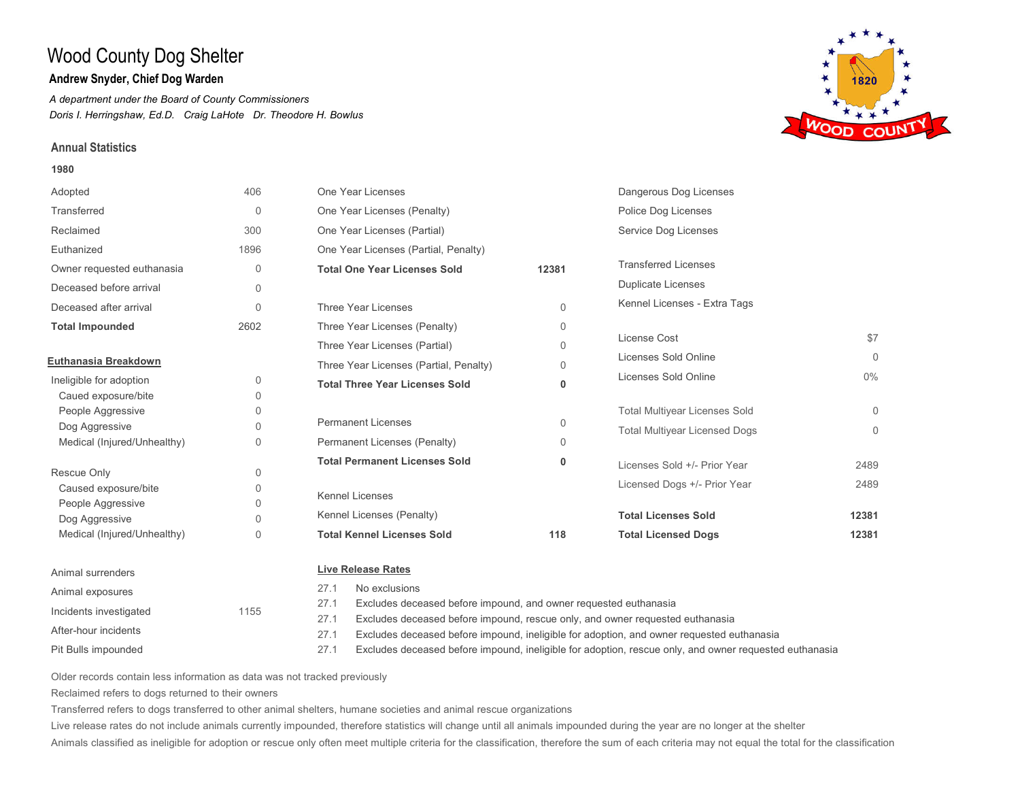## **Andrew Snyder, Chief Dog Warden**

*A department under the Board of County Commissioners Doris I. Herringshaw, Ed.D. Craig LaHote Dr. Theodore H. Bowlus*

### **Annual Statistics**

#### **1980**



27.1 Excludes deceased before impound, and owner requested euthanasia

- Excludes deceased before impound, rescue only, and owner requested euthanasia 27.1
- Excludes deceased before impound, ineligible for adoption, and owner requested euthanasia 27.1
- Excludes deceased before impound, ineligible for adoption, rescue only, and owner requested euthanasia 27.1

Older records contain less information as data was not tracked previously

Reclaimed refers to dogs returned to their owners

Incidents investigated 1155

Pit Bulls impounded

After-hour incidents

Transferred refers to dogs transferred to other animal shelters, humane societies and animal rescue organizations

Live release rates do not include animals currently impounded, therefore statistics will change until all animals impounded during the year are no longer at the shelter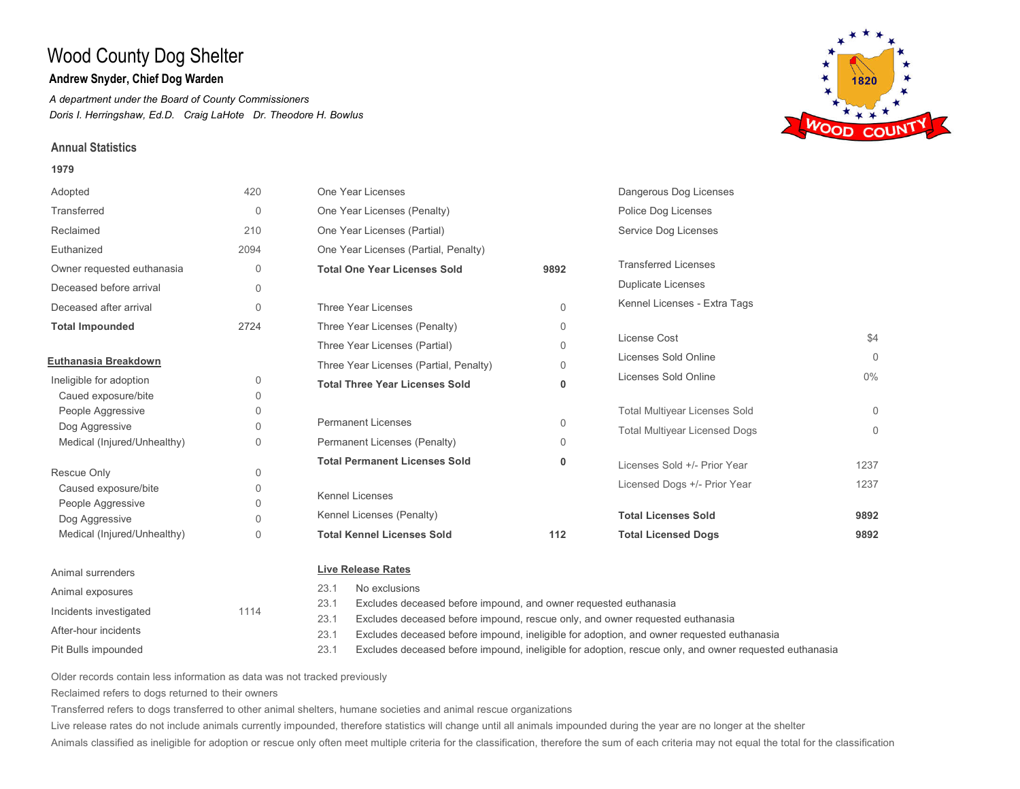## **Andrew Snyder, Chief Dog Warden**

*A department under the Board of County Commissioners Doris I. Herringshaw, Ed.D. Craig LaHote Dr. Theodore H. Bowlus*

### **Annual Statistics**

#### **1979**



23.1 Excludes deceased before impound, and owner requested euthanasia

Excludes deceased before impound, rescue only, and owner requested euthanasia 23.1

Excludes deceased before impound, ineligible for adoption, and owner requested euthanasia 23.1

Excludes deceased before impound, ineligible for adoption, rescue only, and owner requested euthanasia 23.1

Older records contain less information as data was not tracked previously

Reclaimed refers to dogs returned to their owners

Incidents investigated 1114

Pit Bulls impounded

After-hour incidents

Transferred refers to dogs transferred to other animal shelters, humane societies and animal rescue organizations

Live release rates do not include animals currently impounded, therefore statistics will change until all animals impounded during the year are no longer at the shelter

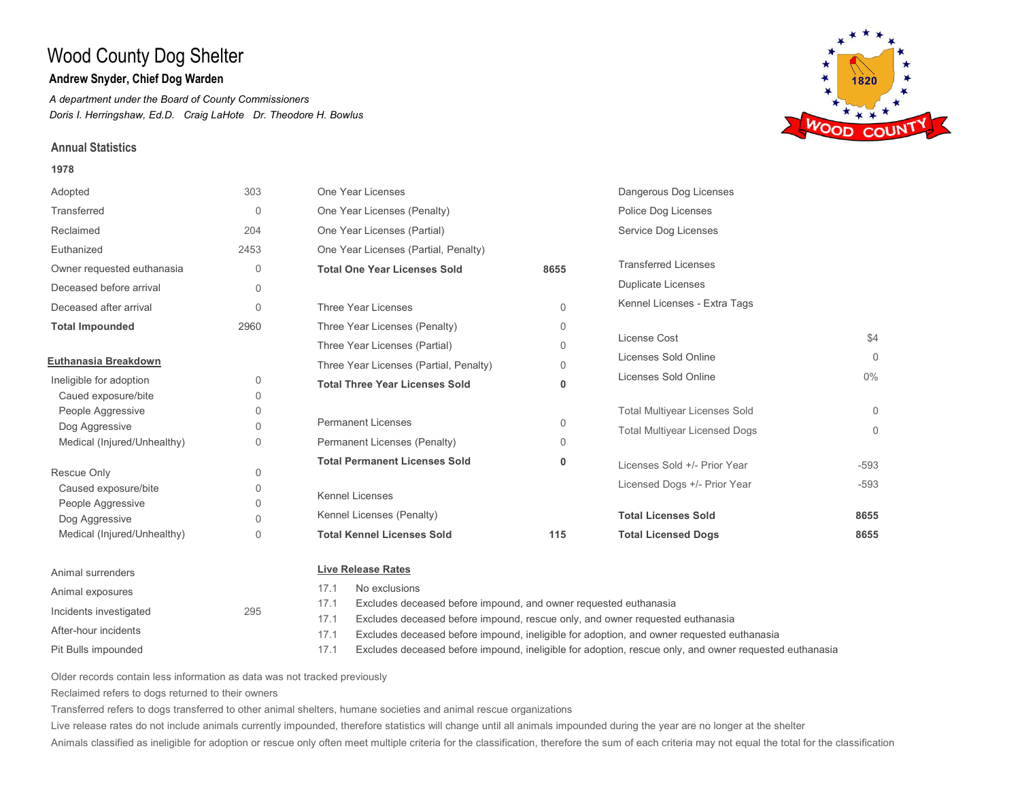## **Andrew Snyder, Chief Dog Warden**

*A department under the Board of County Commissioners Doris I. Herringshaw, Ed.D. Craig LaHote Dr. Theodore H. Bowlus*

### **Annual Statistics**

#### **1978**



Pit Bulls impounded After-hour incidents

Excludes deceased before impound, and owner requested euthanasia

- Excludes deceased before impound, rescue only, and owner requested euthanasia 17.1
- Excludes deceased before impound, ineligible for adoption, and owner requested euthanasia 17.1
- Excludes deceased before impound, ineligible for adoption, rescue only, and owner requested euthanasia 17.1

Older records contain less information as data was not tracked previously

Reclaimed refers to dogs returned to their owners

Transferred refers to dogs transferred to other animal shelters, humane societies and animal rescue organizations

Live release rates do not include animals currently impounded, therefore statistics will change until all animals impounded during the year are no longer at the shelter

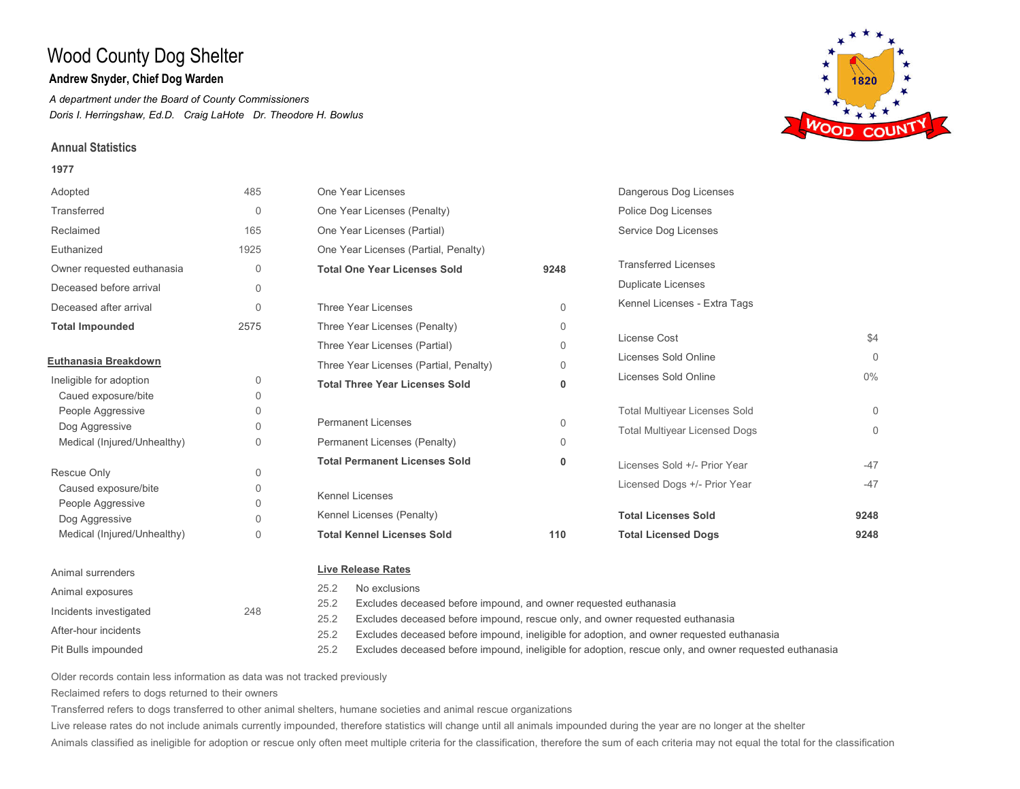## **Andrew Snyder, Chief Dog Warden**

*A department under the Board of County Commissioners Doris I. Herringshaw, Ed.D. Craig LaHote Dr. Theodore H. Bowlus*

### **Annual Statistics**

Pit Bulls impounded

After-hour incidents

Incidents investigated 248

#### **1977**





Older records contain less information as data was not tracked previously Reclaimed refers to dogs returned to their owners

Transferred refers to dogs transferred to other animal shelters, humane societies and animal rescue organizations

Live release rates do not include animals currently impounded, therefore statistics will change until all animals impounded during the year are no longer at the shelter

Animals classified as ineligible for adoption or rescue only often meet multiple criteria for the classification, therefore the sum of each criteria may not equal the total for the classification

25.2 Excludes deceased before impound, and owner requested euthanasia

Excludes deceased before impound, rescue only, and owner requested euthanasia 25.2

Excludes deceased before impound, ineligible for adoption, and owner requested euthanasia 25.2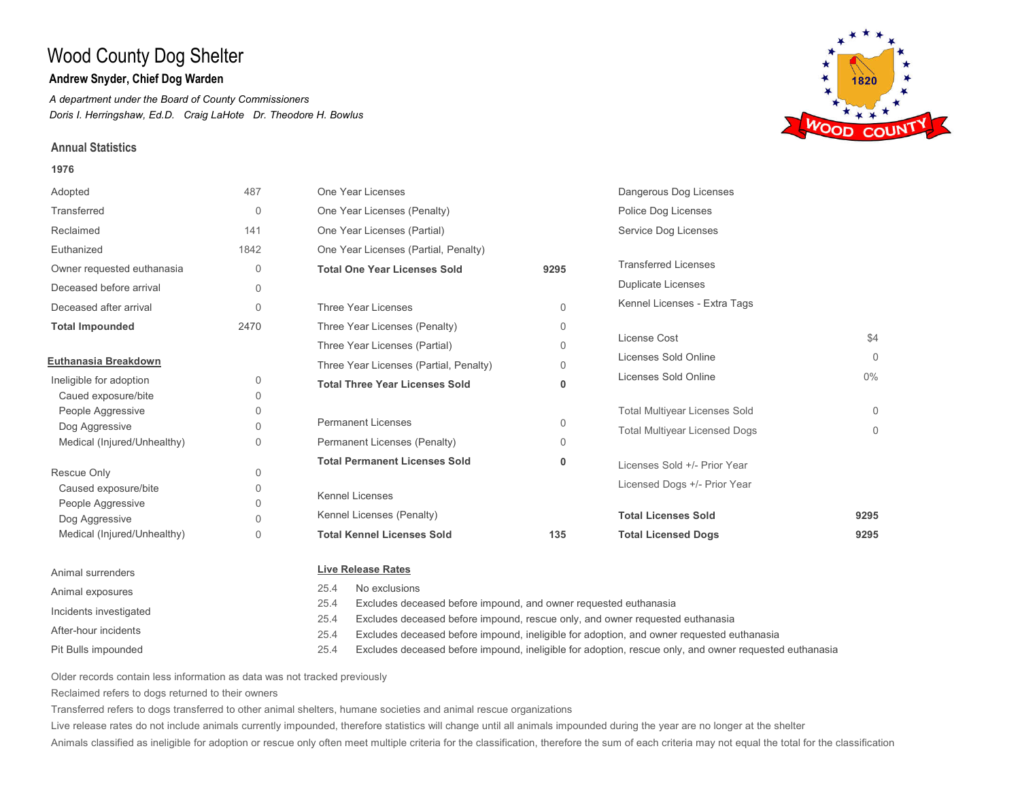## **Andrew Snyder, Chief Dog Warden**

*A department under the Board of County Commissioners Doris I. Herringshaw, Ed.D. Craig LaHote Dr. Theodore H. Bowlus*

### **Annual Statistics**

#### **1976**



Incidents investigated

After-hour incidents

Pit Bulls impounded

25.4 Excludes deceased before impound, and owner requested euthanasia

Excludes deceased before impound, rescue only, and owner requested euthanasia 25.4

Excludes deceased before impound, ineligible for adoption, and owner requested euthanasia 25.4

Excludes deceased before impound, ineligible for adoption, rescue only, and owner requested euthanasia 25.4

Older records contain less information as data was not tracked previously

Reclaimed refers to dogs returned to their owners

Transferred refers to dogs transferred to other animal shelters, humane societies and animal rescue organizations

Live release rates do not include animals currently impounded, therefore statistics will change until all animals impounded during the year are no longer at the shelter